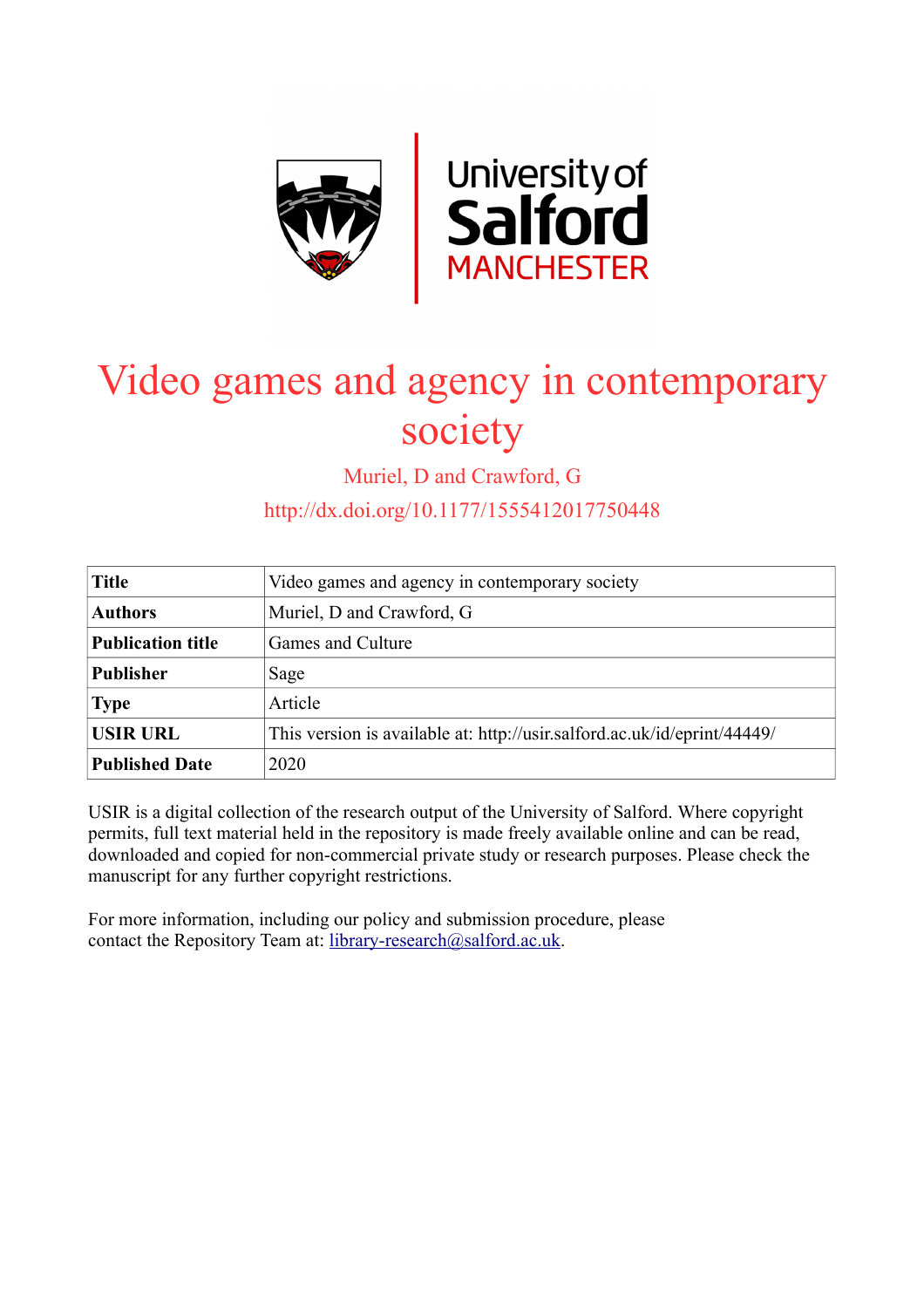

# Video games and agency in contemporary society

Muriel, D and Crawford, G

http://dx.doi.org/10.1177/1555412017750448

| <b>Title</b>             | Video games and agency in contemporary society                           |
|--------------------------|--------------------------------------------------------------------------|
| <b>Authors</b>           | Muriel, D and Crawford, G                                                |
| <b>Publication title</b> | Games and Culture                                                        |
| <b>Publisher</b>         | Sage                                                                     |
| <b>Type</b>              | Article                                                                  |
| <b>USIR URL</b>          | This version is available at: http://usir.salford.ac.uk/id/eprint/44449/ |
| <b>Published Date</b>    | 2020                                                                     |

USIR is a digital collection of the research output of the University of Salford. Where copyright permits, full text material held in the repository is made freely available online and can be read, downloaded and copied for non-commercial private study or research purposes. Please check the manuscript for any further copyright restrictions.

For more information, including our policy and submission procedure, please contact the Repository Team at: [library-research@salford.ac.uk.](mailto:library-research@salford.ac.uk)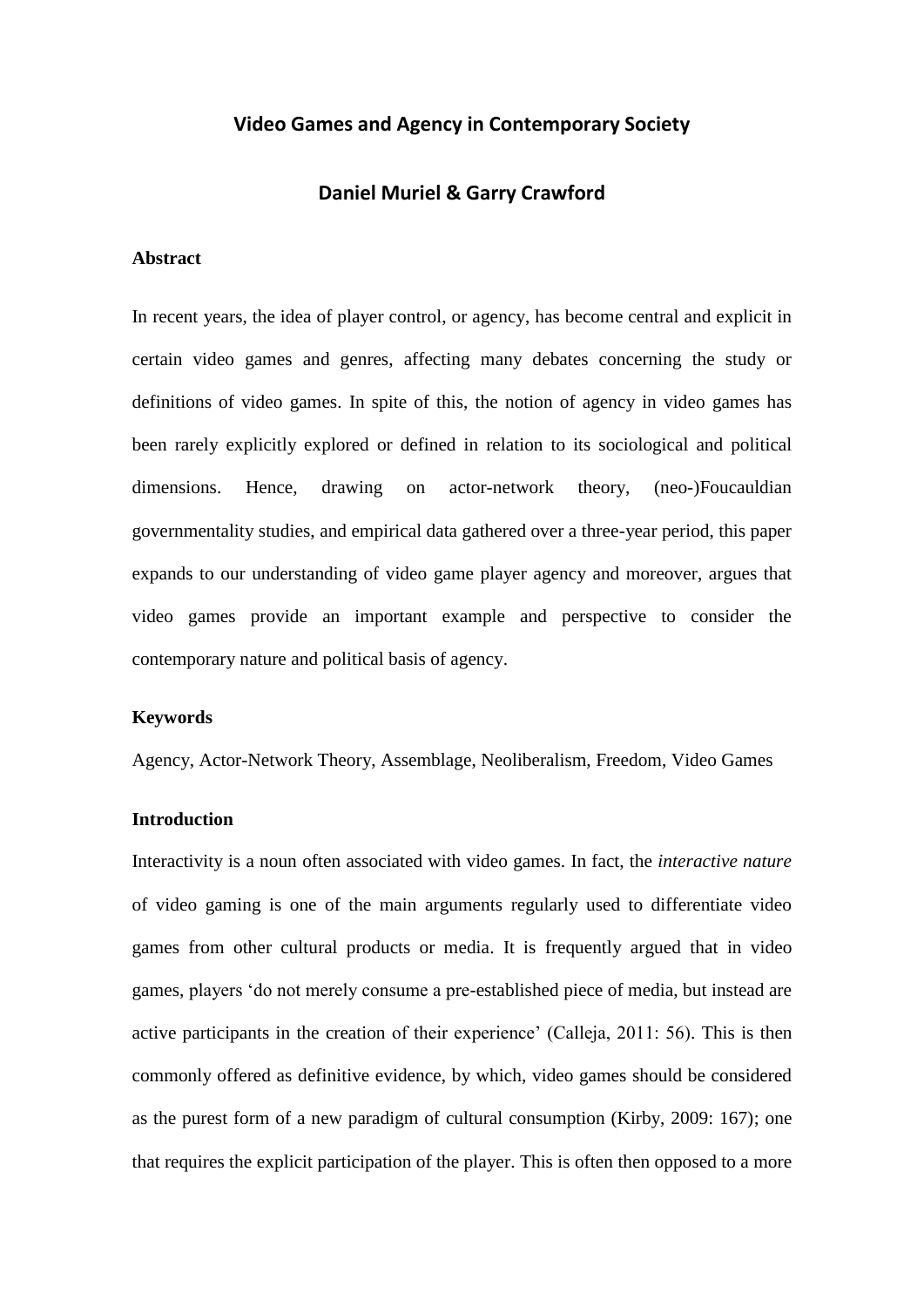# **Video Games and Agency in Contemporary Society**

### **Daniel Muriel & Garry Crawford**

#### **Abstract**

In recent years, the idea of player control, or agency, has become central and explicit in certain video games and genres, affecting many debates concerning the study or definitions of video games. In spite of this, the notion of agency in video games has been rarely explicitly explored or defined in relation to its sociological and political dimensions. Hence, drawing on actor-network theory, (neo-)Foucauldian governmentality studies, and empirical data gathered over a three-year period, this paper expands to our understanding of video game player agency and moreover, argues that video games provide an important example and perspective to consider the contemporary nature and political basis of agency.

#### **Keywords**

Agency, Actor-Network Theory, Assemblage, Neoliberalism, Freedom, Video Games

#### **Introduction**

Interactivity is a noun often associated with video games. In fact, the *interactive nature* of video gaming is one of the main arguments regularly used to differentiate video games from other cultural products or media. It is frequently argued that in video games, players 'do not merely consume a pre-established piece of media, but instead are active participants in the creation of their experience' (Calleja, 2011: 56). This is then commonly offered as definitive evidence, by which, video games should be considered as the purest form of a new paradigm of cultural consumption (Kirby, 2009: 167); one that requires the explicit participation of the player. This is often then opposed to a more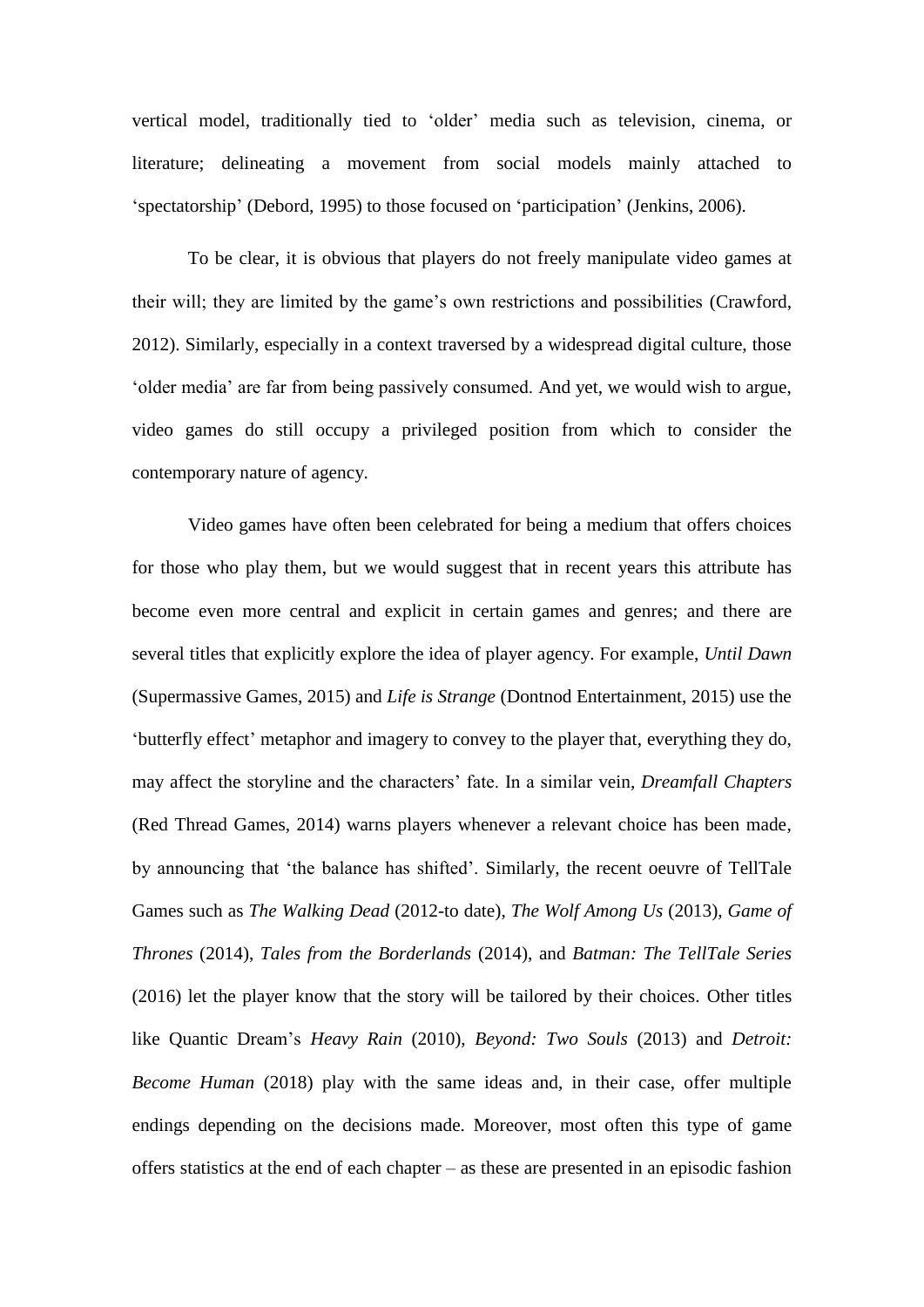vertical model, traditionally tied to 'older' media such as television, cinema, or literature; delineating a movement from social models mainly attached to 'spectatorship' (Debord, 1995) to those focused on 'participation' (Jenkins, 2006).

To be clear, it is obvious that players do not freely manipulate video games at their will; they are limited by the game's own restrictions and possibilities (Crawford, 2012). Similarly, especially in a context traversed by a widespread digital culture, those 'older media' are far from being passively consumed. And yet, we would wish to argue, video games do still occupy a privileged position from which to consider the contemporary nature of agency*.*

Video games have often been celebrated for being a medium that offers choices for those who play them, but we would suggest that in recent years this attribute has become even more central and explicit in certain games and genres; and there are several titles that explicitly explore the idea of player agency. For example, *Until Dawn* (Supermassive Games, 2015) and *Life is Strange* (Dontnod Entertainment, 2015) use the 'butterfly effect' metaphor and imagery to convey to the player that, everything they do, may affect the storyline and the characters' fate. In a similar vein, *Dreamfall Chapters* (Red Thread Games, 2014) warns players whenever a relevant choice has been made, by announcing that 'the balance has shifted'. Similarly, the recent oeuvre of TellTale Games such as *The Walking Dead* (2012-to date), *The Wolf Among Us* (2013), *Game of Thrones* (2014), *Tales from the Borderlands* (2014), and *Batman: The TellTale Series* (2016) let the player know that the story will be tailored by their choices. Other titles like Quantic Dream's *Heavy Rain* (2010), *Beyond: Two Souls* (2013) and *Detroit: Become Human* (2018) play with the same ideas and, in their case, offer multiple endings depending on the decisions made. Moreover, most often this type of game offers statistics at the end of each chapter – as these are presented in an episodic fashion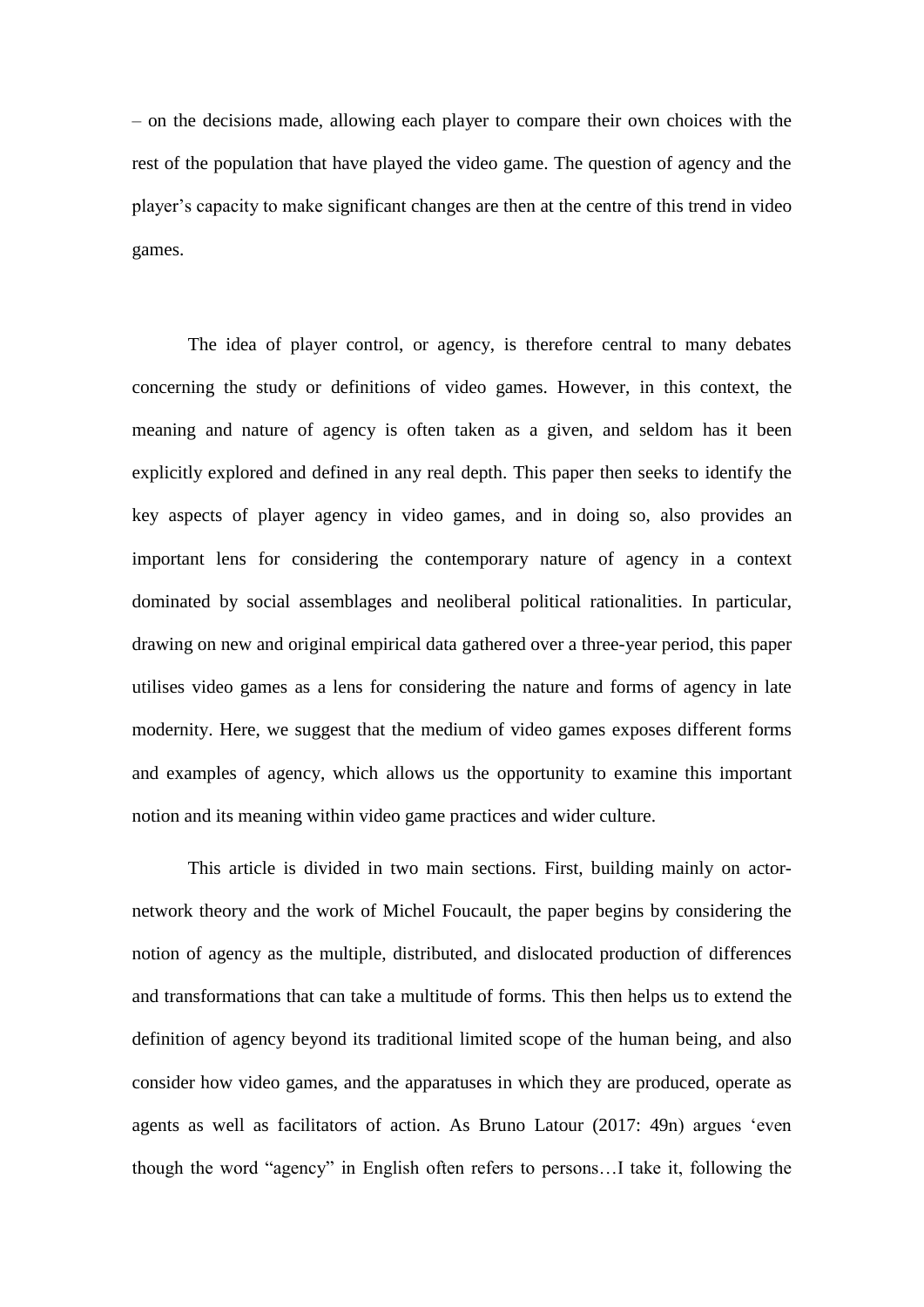– on the decisions made, allowing each player to compare their own choices with the rest of the population that have played the video game. The question of agency and the player's capacity to make significant changes are then at the centre of this trend in video games.

The idea of player control, or agency, is therefore central to many debates concerning the study or definitions of video games. However, in this context, the meaning and nature of agency is often taken as a given, and seldom has it been explicitly explored and defined in any real depth. This paper then seeks to identify the key aspects of player agency in video games, and in doing so, also provides an important lens for considering the contemporary nature of agency in a context dominated by social assemblages and neoliberal political rationalities. In particular, drawing on new and original empirical data gathered over a three-year period, this paper utilises video games as a lens for considering the nature and forms of agency in late modernity. Here, we suggest that the medium of video games exposes different forms and examples of agency, which allows us the opportunity to examine this important notion and its meaning within video game practices and wider culture.

This article is divided in two main sections. First, building mainly on actornetwork theory and the work of Michel Foucault, the paper begins by considering the notion of agency as the multiple, distributed, and dislocated production of differences and transformations that can take a multitude of forms. This then helps us to extend the definition of agency beyond its traditional limited scope of the human being, and also consider how video games, and the apparatuses in which they are produced, operate as agents as well as facilitators of action. As Bruno Latour (2017: 49n) argues 'even though the word "agency" in English often refers to persons…I take it, following the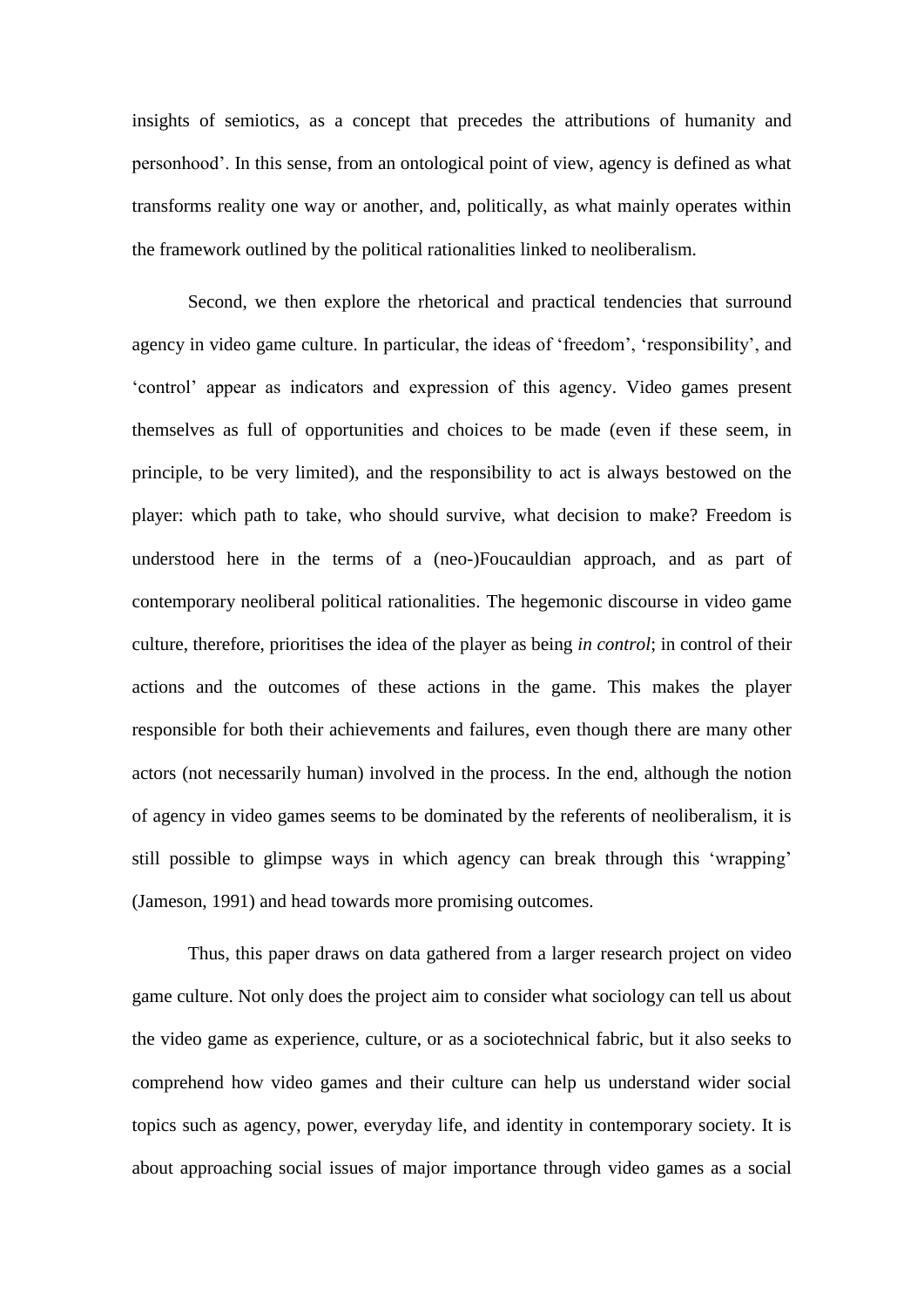insights of semiotics, as a concept that precedes the attributions of humanity and personhood'. In this sense, from an ontological point of view, agency is defined as what transforms reality one way or another, and, politically, as what mainly operates within the framework outlined by the political rationalities linked to neoliberalism.

Second, we then explore the rhetorical and practical tendencies that surround agency in video game culture. In particular, the ideas of 'freedom', 'responsibility', and 'control' appear as indicators and expression of this agency. Video games present themselves as full of opportunities and choices to be made (even if these seem, in principle, to be very limited), and the responsibility to act is always bestowed on the player: which path to take, who should survive, what decision to make? Freedom is understood here in the terms of a (neo-)Foucauldian approach, and as part of contemporary neoliberal political rationalities. The hegemonic discourse in video game culture, therefore, prioritises the idea of the player as being *in control*; in control of their actions and the outcomes of these actions in the game. This makes the player responsible for both their achievements and failures, even though there are many other actors (not necessarily human) involved in the process. In the end, although the notion of agency in video games seems to be dominated by the referents of neoliberalism, it is still possible to glimpse ways in which agency can break through this 'wrapping' (Jameson, 1991) and head towards more promising outcomes.

Thus, this paper draws on data gathered from a larger research project on video game culture. Not only does the project aim to consider what sociology can tell us about the video game as experience, culture, or as a sociotechnical fabric, but it also seeks to comprehend how video games and their culture can help us understand wider social topics such as agency, power, everyday life, and identity in contemporary society. It is about approaching social issues of major importance through video games as a social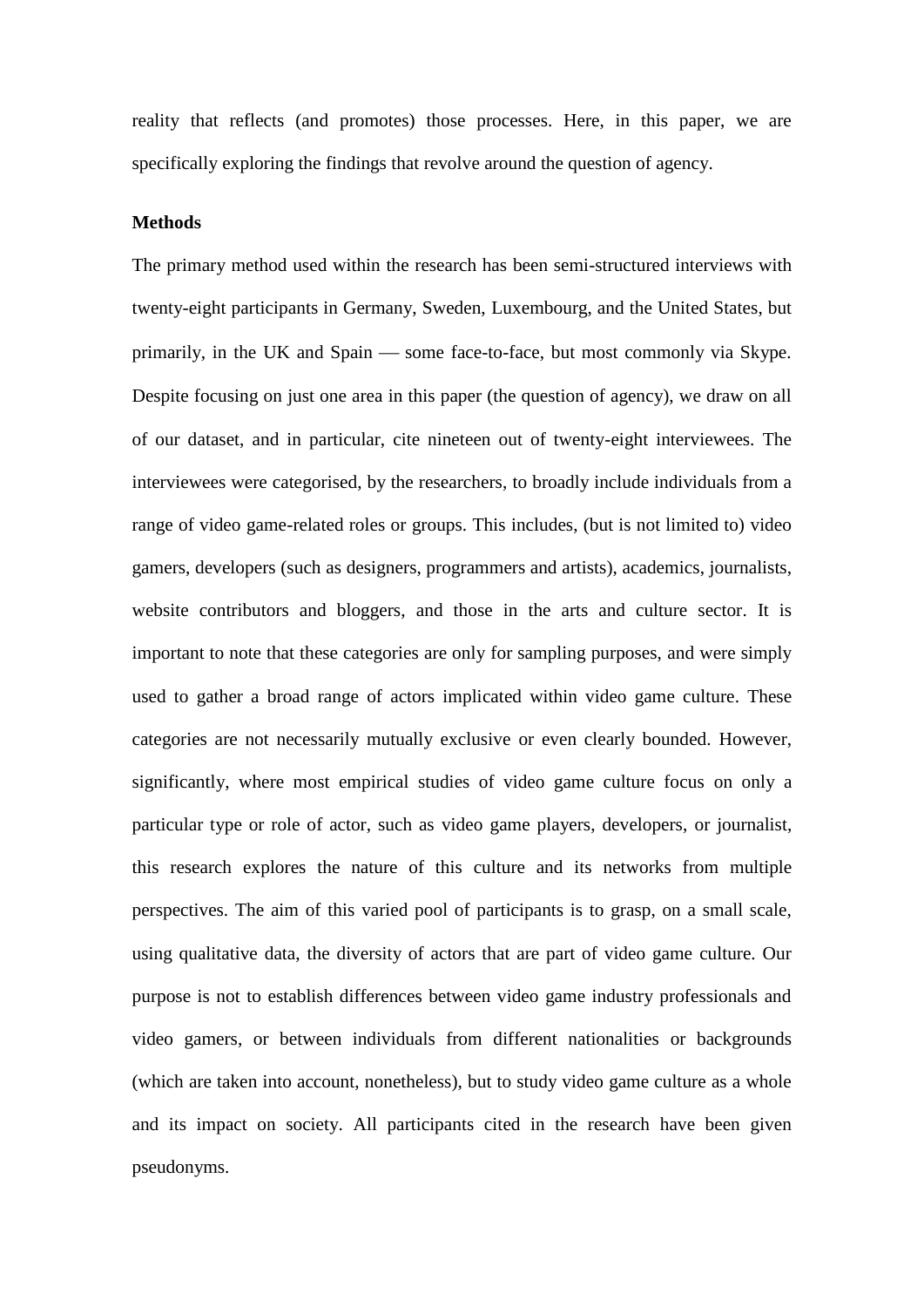reality that reflects (and promotes) those processes. Here, in this paper, we are specifically exploring the findings that revolve around the question of agency.

#### **Methods**

The primary method used within the research has been semi-structured interviews with twenty-eight participants in Germany, Sweden, Luxembourg, and the United States, but primarily, in the UK and Spain — some face-to-face, but most commonly via Skype. Despite focusing on just one area in this paper (the question of agency), we draw on all of our dataset, and in particular, cite nineteen out of twenty-eight interviewees. The interviewees were categorised, by the researchers, to broadly include individuals from a range of video game-related roles or groups. This includes, (but is not limited to) video gamers, developers (such as designers, programmers and artists), academics, journalists, website contributors and bloggers, and those in the arts and culture sector. It is important to note that these categories are only for sampling purposes, and were simply used to gather a broad range of actors implicated within video game culture. These categories are not necessarily mutually exclusive or even clearly bounded. However, significantly, where most empirical studies of video game culture focus on only a particular type or role of actor, such as video game players, developers, or journalist, this research explores the nature of this culture and its networks from multiple perspectives. The aim of this varied pool of participants is to grasp, on a small scale, using qualitative data, the diversity of actors that are part of video game culture. Our purpose is not to establish differences between video game industry professionals and video gamers, or between individuals from different nationalities or backgrounds (which are taken into account, nonetheless), but to study video game culture as a whole and its impact on society. All participants cited in the research have been given pseudonyms.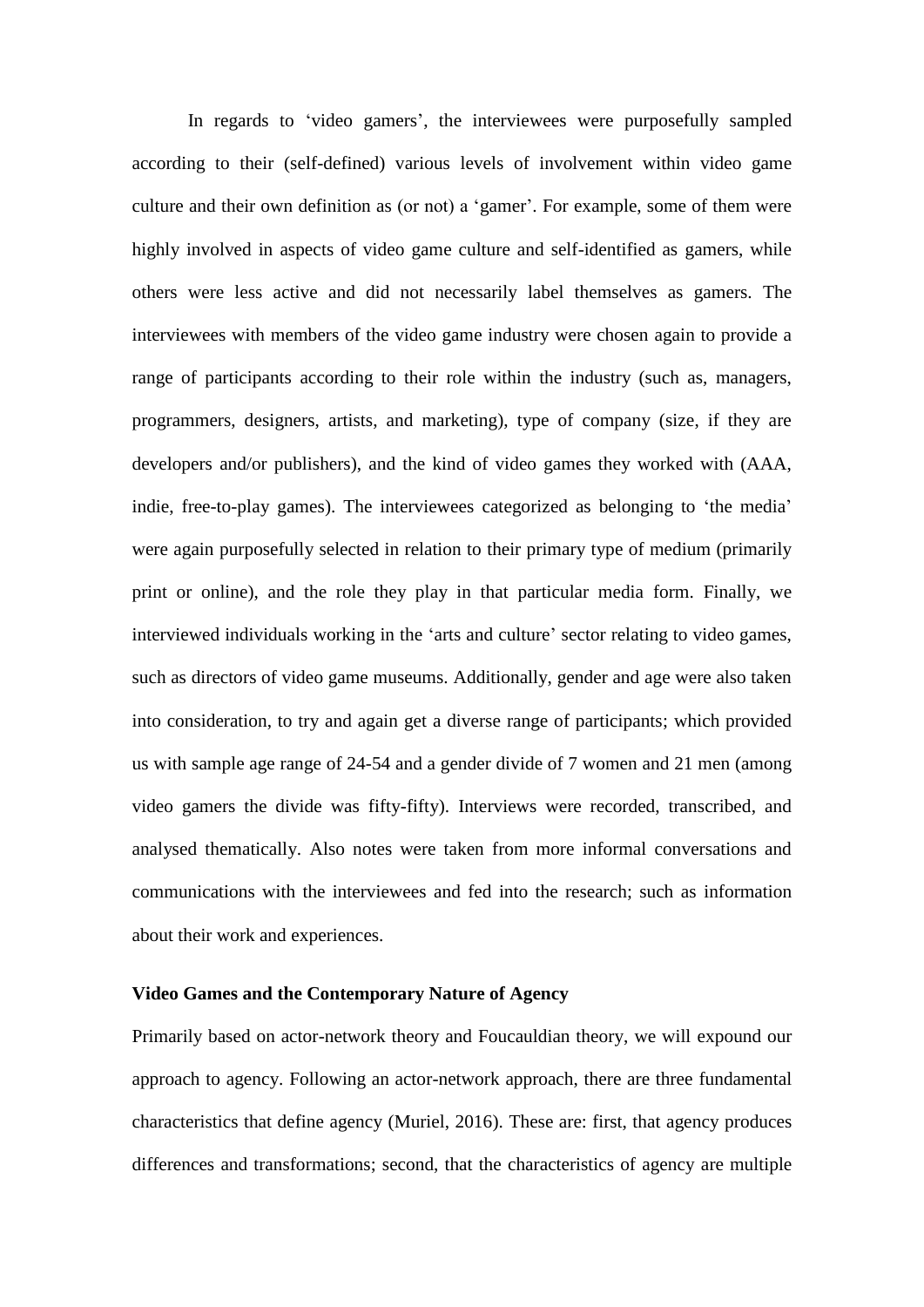In regards to 'video gamers', the interviewees were purposefully sampled according to their (self-defined) various levels of involvement within video game culture and their own definition as (or not) a 'gamer'. For example, some of them were highly involved in aspects of video game culture and self-identified as gamers, while others were less active and did not necessarily label themselves as gamers. The interviewees with members of the video game industry were chosen again to provide a range of participants according to their role within the industry (such as, managers, programmers, designers, artists, and marketing), type of company (size, if they are developers and/or publishers), and the kind of video games they worked with (AAA, indie, free-to-play games). The interviewees categorized as belonging to 'the media' were again purposefully selected in relation to their primary type of medium (primarily print or online), and the role they play in that particular media form. Finally, we interviewed individuals working in the 'arts and culture' sector relating to video games, such as directors of video game museums. Additionally, gender and age were also taken into consideration, to try and again get a diverse range of participants; which provided us with sample age range of 24-54 and a gender divide of 7 women and 21 men (among video gamers the divide was fifty-fifty). Interviews were recorded, transcribed, and analysed thematically. Also notes were taken from more informal conversations and communications with the interviewees and fed into the research; such as information about their work and experiences.

# **Video Games and the Contemporary Nature of Agency**

Primarily based on actor-network theory and Foucauldian theory, we will expound our approach to agency. Following an actor-network approach, there are three fundamental characteristics that define agency (Muriel, 2016). These are: first, that agency produces differences and transformations; second, that the characteristics of agency are multiple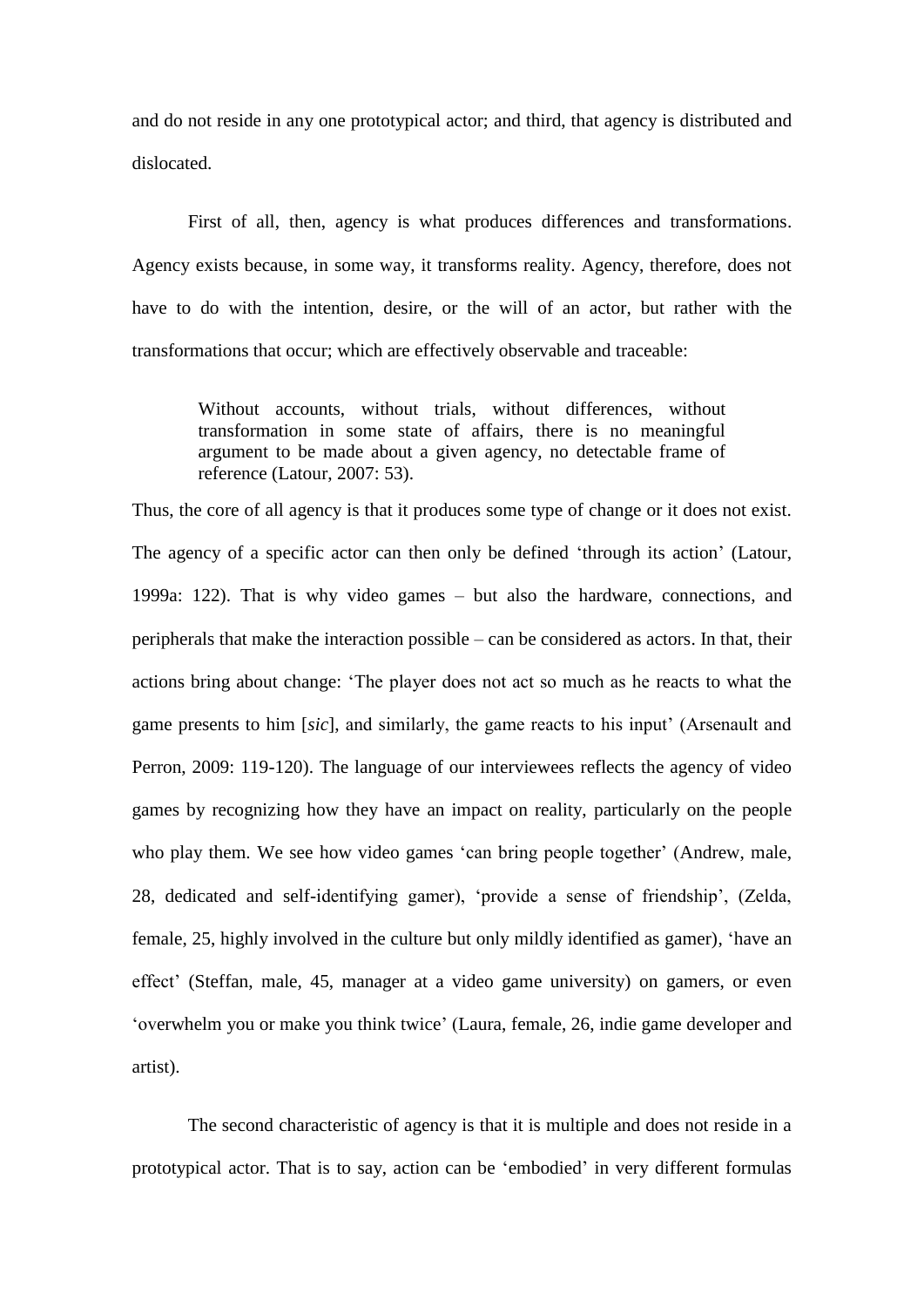and do not reside in any one prototypical actor; and third, that agency is distributed and dislocated.

First of all, then, agency is what produces differences and transformations. Agency exists because, in some way, it transforms reality. Agency, therefore, does not have to do with the intention, desire, or the will of an actor, but rather with the transformations that occur; which are effectively observable and traceable:

Without accounts, without trials, without differences, without transformation in some state of affairs, there is no meaningful argument to be made about a given agency, no detectable frame of reference (Latour, 2007: 53).

Thus, the core of all agency is that it produces some type of change or it does not exist. The agency of a specific actor can then only be defined 'through its action' (Latour, 1999a: 122). That is why video games – but also the hardware, connections, and peripherals that make the interaction possible – can be considered as actors. In that, their actions bring about change: 'The player does not act so much as he reacts to what the game presents to him [*sic*], and similarly, the game reacts to his input' (Arsenault and Perron, 2009: 119-120). The language of our interviewees reflects the agency of video games by recognizing how they have an impact on reality, particularly on the people who play them. We see how video games 'can bring people together' (Andrew, male, 28, dedicated and self-identifying gamer), 'provide a sense of friendship', (Zelda, female, 25, highly involved in the culture but only mildly identified as gamer), 'have an effect' (Steffan, male, 45, manager at a video game university) on gamers, or even 'overwhelm you or make you think twice' (Laura, female, 26, indie game developer and artist).

The second characteristic of agency is that it is multiple and does not reside in a prototypical actor. That is to say, action can be 'embodied' in very different formulas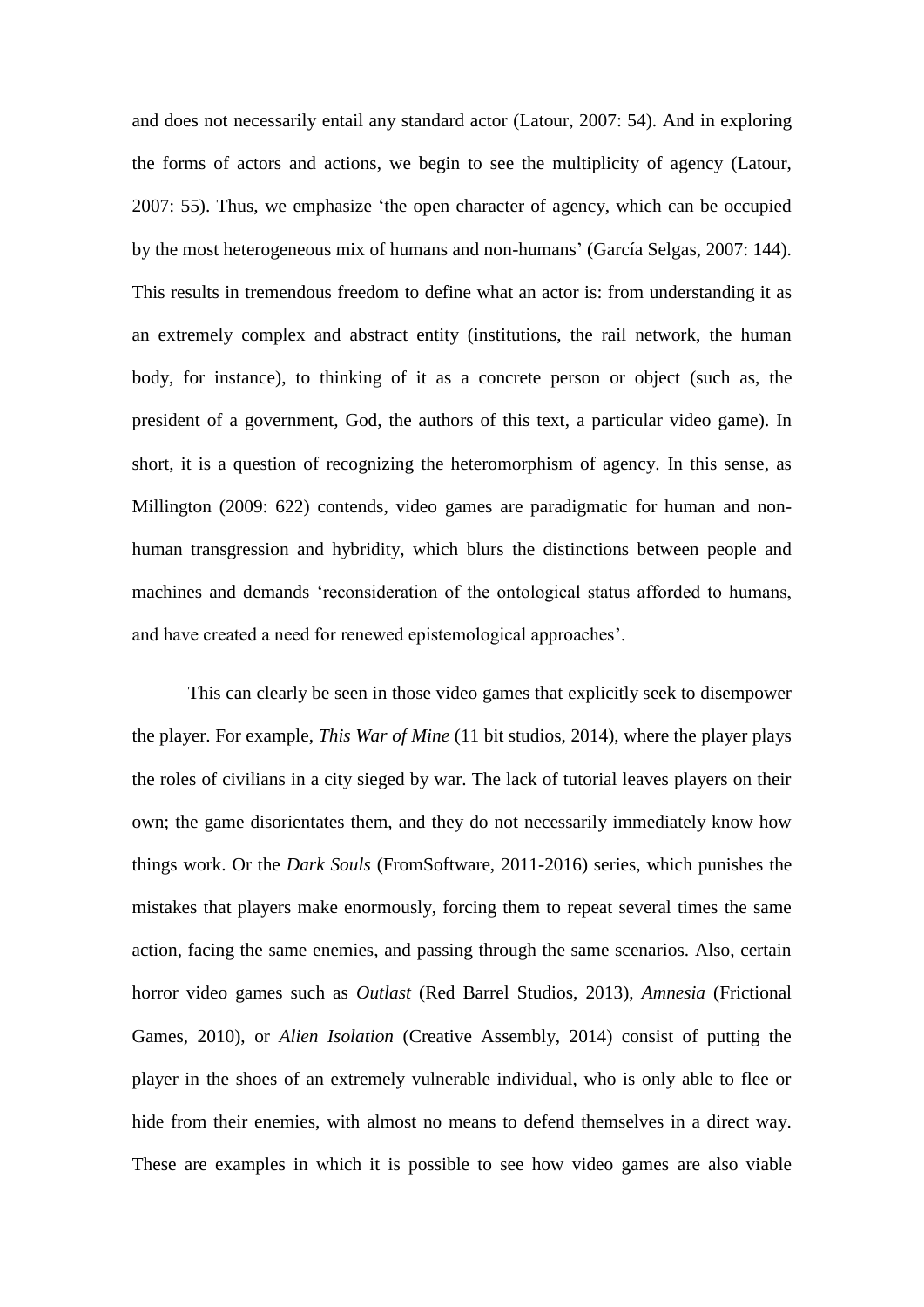and does not necessarily entail any standard actor (Latour, 2007: 54). And in exploring the forms of actors and actions, we begin to see the multiplicity of agency (Latour, 2007: 55). Thus, we emphasize 'the open character of agency, which can be occupied by the most heterogeneous mix of humans and non-humans' (García Selgas, 2007: 144). This results in tremendous freedom to define what an actor is: from understanding it as an extremely complex and abstract entity (institutions, the rail network, the human body, for instance), to thinking of it as a concrete person or object (such as, the president of a government, God, the authors of this text, a particular video game). In short, it is a question of recognizing the heteromorphism of agency. In this sense, as Millington (2009: 622) contends, video games are paradigmatic for human and nonhuman transgression and hybridity, which blurs the distinctions between people and machines and demands 'reconsideration of the ontological status afforded to humans, and have created a need for renewed epistemological approaches'.

This can clearly be seen in those video games that explicitly seek to disempower the player. For example, *This War of Mine* (11 bit studios, 2014), where the player plays the roles of civilians in a city sieged by war. The lack of tutorial leaves players on their own; the game disorientates them, and they do not necessarily immediately know how things work. Or the *Dark Souls* (FromSoftware, 2011-2016) series, which punishes the mistakes that players make enormously, forcing them to repeat several times the same action, facing the same enemies, and passing through the same scenarios. Also, certain horror video games such as *Outlast* (Red Barrel Studios, 2013), *Amnesia* (Frictional Games, 2010), or *Alien Isolation* (Creative Assembly, 2014) consist of putting the player in the shoes of an extremely vulnerable individual, who is only able to flee or hide from their enemies, with almost no means to defend themselves in a direct way. These are examples in which it is possible to see how video games are also viable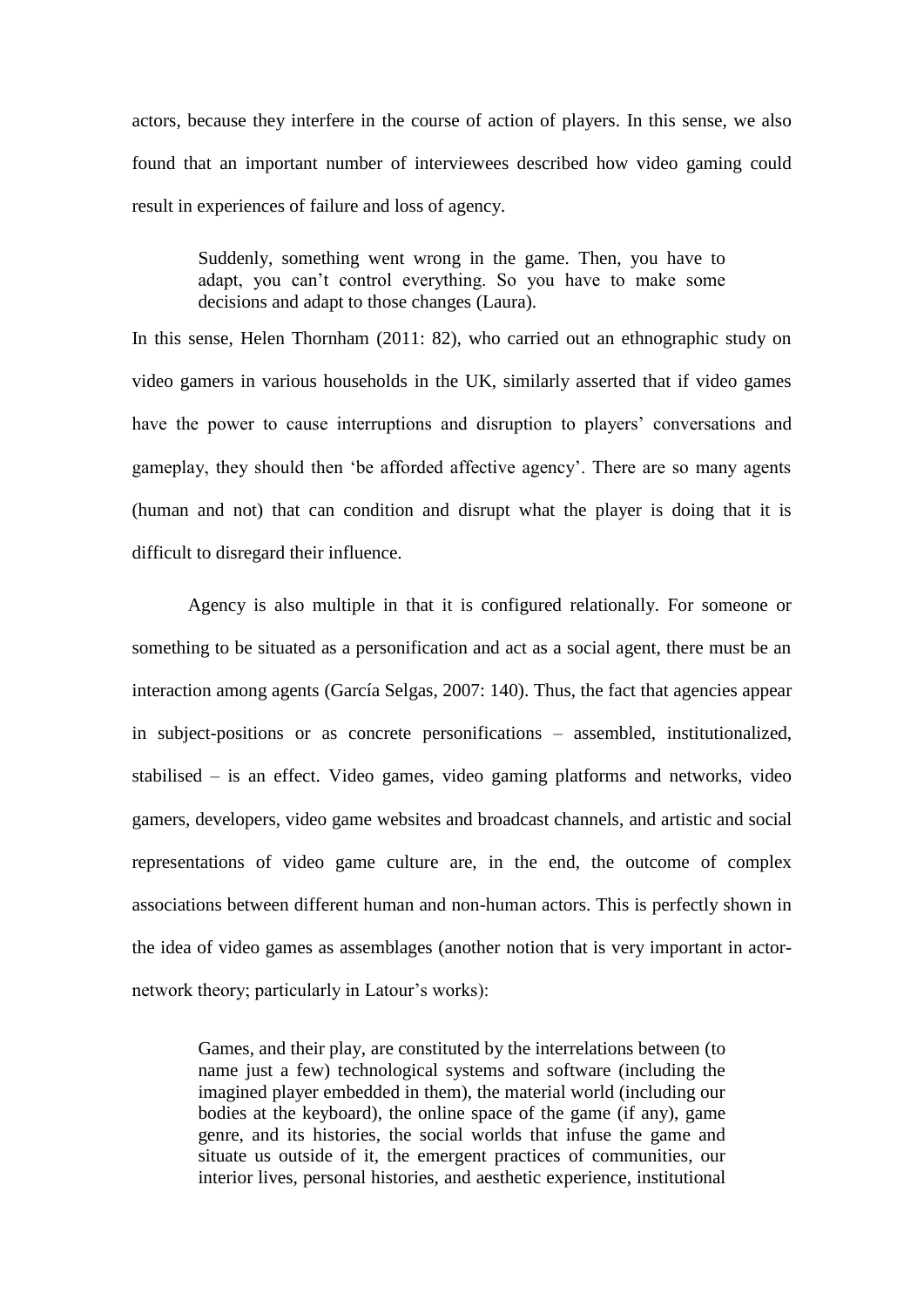actors, because they interfere in the course of action of players. In this sense, we also found that an important number of interviewees described how video gaming could result in experiences of failure and loss of agency.

Suddenly, something went wrong in the game. Then, you have to adapt, you can't control everything. So you have to make some decisions and adapt to those changes (Laura).

In this sense, Helen Thornham (2011: 82), who carried out an ethnographic study on video gamers in various households in the UK, similarly asserted that if video games have the power to cause interruptions and disruption to players' conversations and gameplay, they should then 'be afforded affective agency'. There are so many agents (human and not) that can condition and disrupt what the player is doing that it is difficult to disregard their influence.

Agency is also multiple in that it is configured relationally. For someone or something to be situated as a personification and act as a social agent, there must be an interaction among agents (García Selgas, 2007: 140). Thus, the fact that agencies appear in subject-positions or as concrete personifications – assembled, institutionalized, stabilised – is an effect. Video games, video gaming platforms and networks, video gamers, developers, video game websites and broadcast channels, and artistic and social representations of video game culture are, in the end, the outcome of complex associations between different human and non-human actors. This is perfectly shown in the idea of video games as assemblages (another notion that is very important in actornetwork theory; particularly in Latour's works):

Games, and their play, are constituted by the interrelations between (to name just a few) technological systems and software (including the imagined player embedded in them), the material world (including our bodies at the keyboard), the online space of the game (if any), game genre, and its histories, the social worlds that infuse the game and situate us outside of it, the emergent practices of communities, our interior lives, personal histories, and aesthetic experience, institutional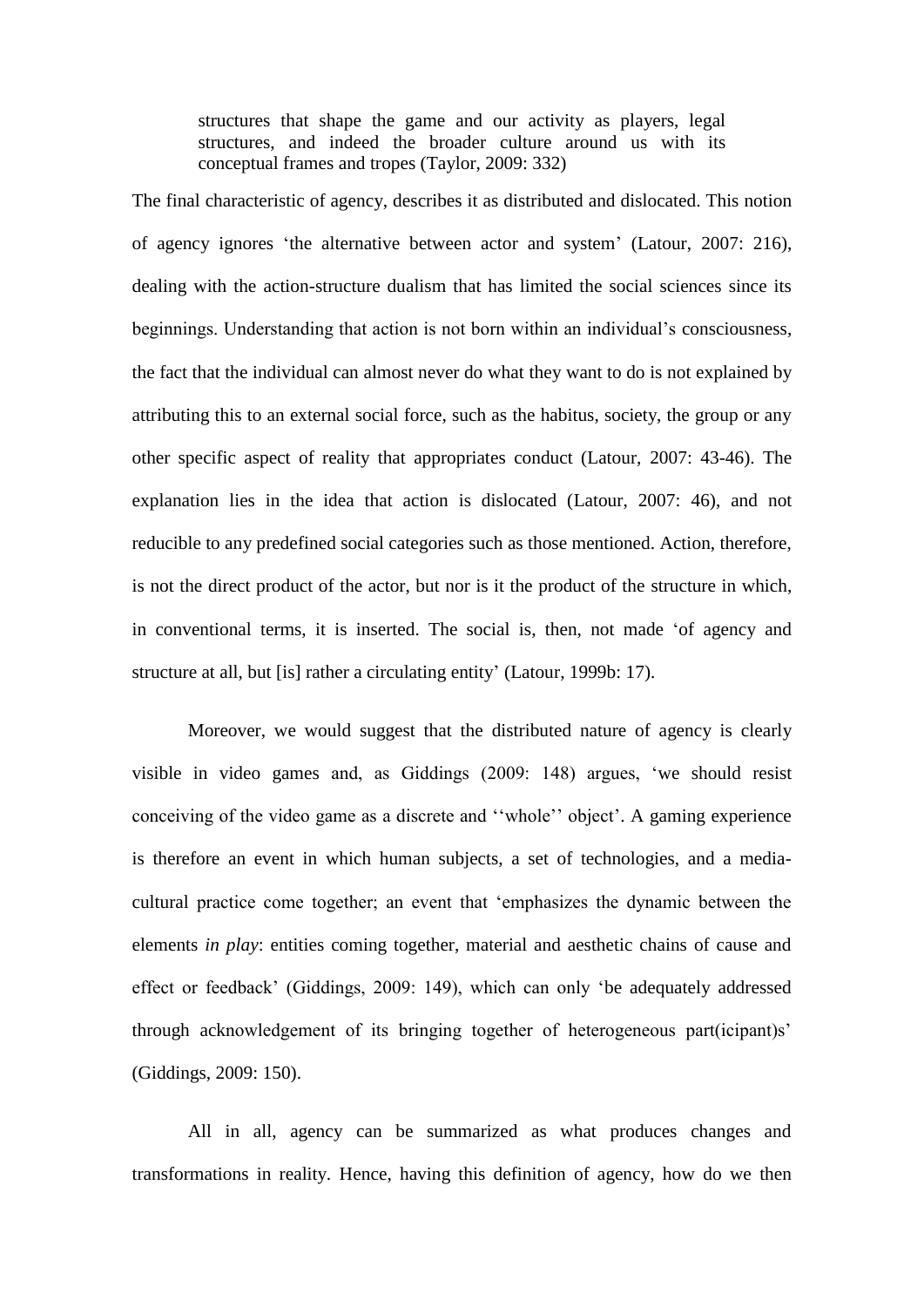structures that shape the game and our activity as players, legal structures, and indeed the broader culture around us with its conceptual frames and tropes (Taylor, 2009: 332)

The final characteristic of agency, describes it as distributed and dislocated. This notion of agency ignores 'the alternative between actor and system' (Latour, 2007: 216), dealing with the action-structure dualism that has limited the social sciences since its beginnings. Understanding that action is not born within an individual's consciousness, the fact that the individual can almost never do what they want to do is not explained by attributing this to an external social force, such as the habitus, society, the group or any other specific aspect of reality that appropriates conduct (Latour, 2007: 43-46). The explanation lies in the idea that action is dislocated (Latour, 2007: 46), and not reducible to any predefined social categories such as those mentioned. Action, therefore, is not the direct product of the actor, but nor is it the product of the structure in which, in conventional terms, it is inserted. The social is, then, not made 'of agency and structure at all, but [is] rather a circulating entity' (Latour, 1999b: 17).

Moreover, we would suggest that the distributed nature of agency is clearly visible in video games and, as Giddings (2009: 148) argues, 'we should resist conceiving of the video game as a discrete and ''whole'' object'. A gaming experience is therefore an event in which human subjects, a set of technologies, and a mediacultural practice come together; an event that 'emphasizes the dynamic between the elements *in play*: entities coming together, material and aesthetic chains of cause and effect or feedback' (Giddings, 2009: 149), which can only 'be adequately addressed through acknowledgement of its bringing together of heterogeneous part(icipant)s' (Giddings, 2009: 150).

All in all, agency can be summarized as what produces changes and transformations in reality. Hence, having this definition of agency, how do we then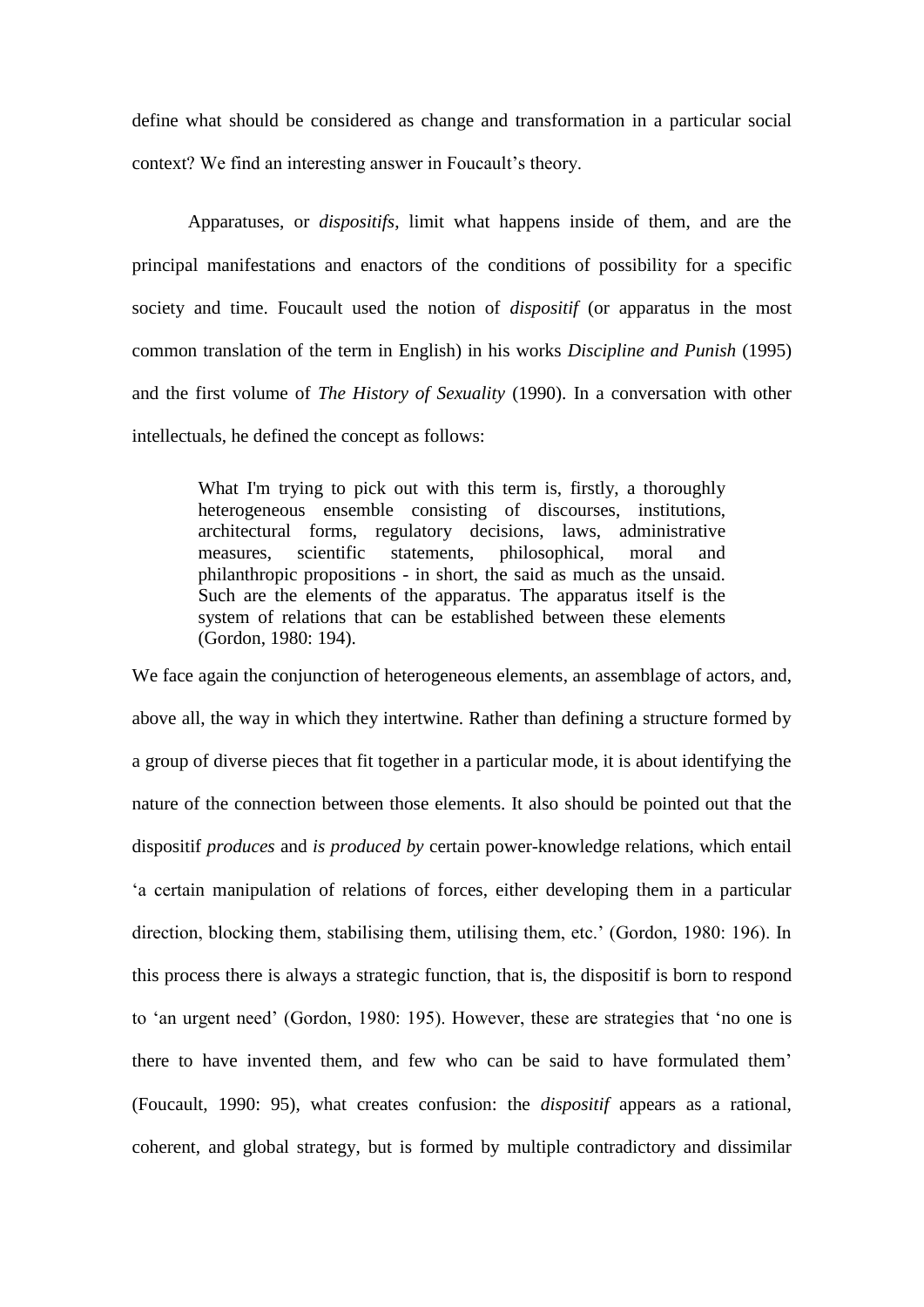define what should be considered as change and transformation in a particular social context? We find an interesting answer in Foucault's theory.

Apparatuses, or *dispositifs*, limit what happens inside of them, and are the principal manifestations and enactors of the conditions of possibility for a specific society and time. Foucault used the notion of *dispositif* (or apparatus in the most common translation of the term in English) in his works *Discipline and Punish* (1995) and the first volume of *The History of Sexuality* (1990). In a conversation with other intellectuals, he defined the concept as follows:

What I'm trying to pick out with this term is, firstly, a thoroughly heterogeneous ensemble consisting of discourses, institutions, architectural forms, regulatory decisions, laws, administrative measures, scientific statements, philosophical, moral and philanthropic propositions - in short, the said as much as the unsaid. Such are the elements of the apparatus. The apparatus itself is the system of relations that can be established between these elements (Gordon, 1980: 194).

We face again the conjunction of heterogeneous elements, an assemblage of actors, and, above all, the way in which they intertwine. Rather than defining a structure formed by a group of diverse pieces that fit together in a particular mode, it is about identifying the nature of the connection between those elements. It also should be pointed out that the dispositif *produces* and *is produced by* certain power-knowledge relations, which entail 'a certain manipulation of relations of forces, either developing them in a particular direction, blocking them, stabilising them, utilising them, etc.' (Gordon, 1980: 196). In this process there is always a strategic function, that is, the dispositif is born to respond to 'an urgent need' (Gordon, 1980: 195). However, these are strategies that 'no one is there to have invented them, and few who can be said to have formulated them' (Foucault, 1990: 95), what creates confusion: the *dispositif* appears as a rational, coherent, and global strategy, but is formed by multiple contradictory and dissimilar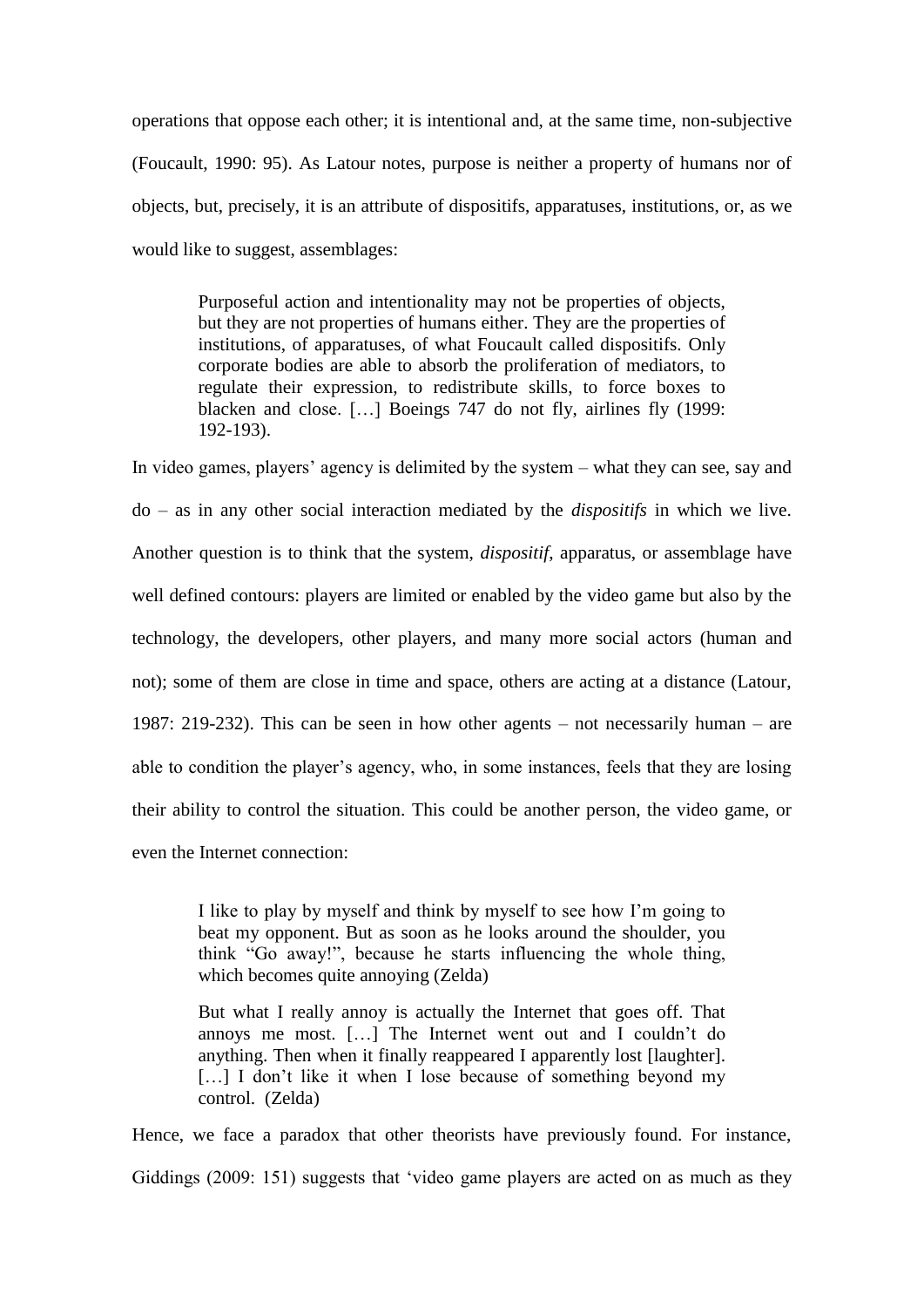operations that oppose each other; it is intentional and, at the same time, non-subjective (Foucault, 1990: 95). As Latour notes, purpose is neither a property of humans nor of objects, but, precisely, it is an attribute of dispositifs, apparatuses, institutions, or, as we would like to suggest, assemblages:

Purposeful action and intentionality may not be properties of objects, but they are not properties of humans either. They are the properties of institutions, of apparatuses, of what Foucault called dispositifs. Only corporate bodies are able to absorb the proliferation of mediators, to regulate their expression, to redistribute skills, to force boxes to blacken and close. […] Boeings 747 do not fly, airlines fly (1999: 192-193).

In video games, players' agency is delimited by the system – what they can see, say and do – as in any other social interaction mediated by the *dispositifs* in which we live. Another question is to think that the system, *dispositif*, apparatus, or assemblage have well defined contours: players are limited or enabled by the video game but also by the technology, the developers, other players, and many more social actors (human and not); some of them are close in time and space, others are acting at a distance (Latour, 1987: 219-232). This can be seen in how other agents – not necessarily human – are able to condition the player's agency, who, in some instances, feels that they are losing their ability to control the situation. This could be another person, the video game, or even the Internet connection:

I like to play by myself and think by myself to see how I'm going to beat my opponent. But as soon as he looks around the shoulder, you think "Go away!", because he starts influencing the whole thing, which becomes quite annoying (Zelda)

But what I really annoy is actually the Internet that goes off. That annoys me most. […] The Internet went out and I couldn't do anything. Then when it finally reappeared I apparently lost [laughter]. [...] I don't like it when I lose because of something beyond my control. (Zelda)

Hence, we face a paradox that other theorists have previously found. For instance, Giddings (2009: 151) suggests that 'video game players are acted on as much as they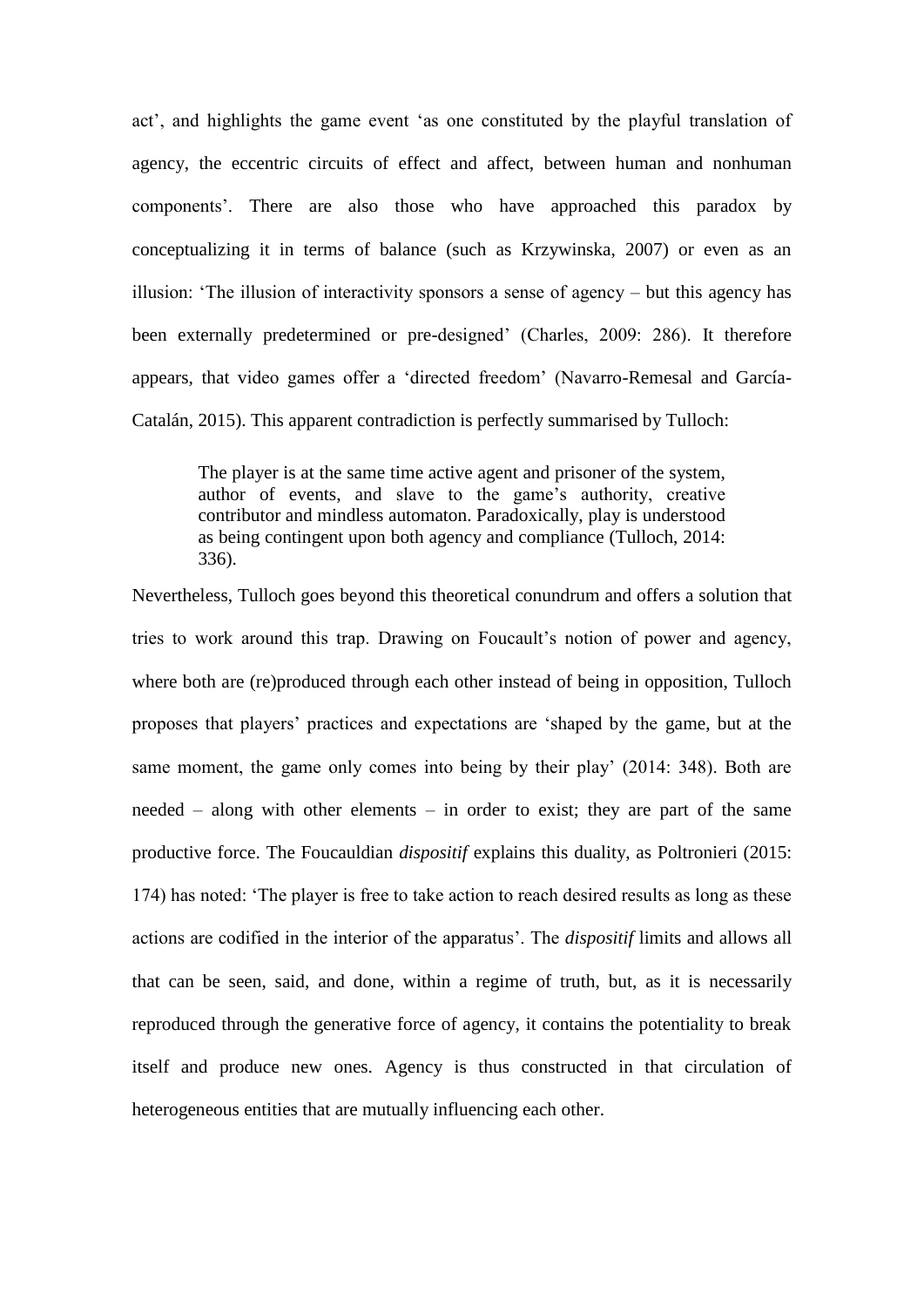act', and highlights the game event 'as one constituted by the playful translation of agency, the eccentric circuits of effect and affect, between human and nonhuman components'. There are also those who have approached this paradox by conceptualizing it in terms of balance (such as Krzywinska, 2007) or even as an illusion: 'The illusion of interactivity sponsors a sense of agency – but this agency has been externally predetermined or pre-designed' (Charles, 2009: 286). It therefore appears, that video games offer a 'directed freedom' (Navarro-Remesal and García-Catalán, 2015). This apparent contradiction is perfectly summarised by Tulloch:

The player is at the same time active agent and prisoner of the system, author of events, and slave to the game's authority, creative contributor and mindless automaton. Paradoxically, play is understood as being contingent upon both agency and compliance (Tulloch, 2014: 336).

Nevertheless, Tulloch goes beyond this theoretical conundrum and offers a solution that tries to work around this trap. Drawing on Foucault's notion of power and agency, where both are (re)produced through each other instead of being in opposition, Tulloch proposes that players' practices and expectations are 'shaped by the game, but at the same moment, the game only comes into being by their play' (2014: 348). Both are needed – along with other elements – in order to exist; they are part of the same productive force. The Foucauldian *dispositif* explains this duality, as Poltronieri (2015: 174) has noted: 'The player is free to take action to reach desired results as long as these actions are codified in the interior of the apparatus'. The *dispositif* limits and allows all that can be seen, said, and done, within a regime of truth, but, as it is necessarily reproduced through the generative force of agency, it contains the potentiality to break itself and produce new ones. Agency is thus constructed in that circulation of heterogeneous entities that are mutually influencing each other.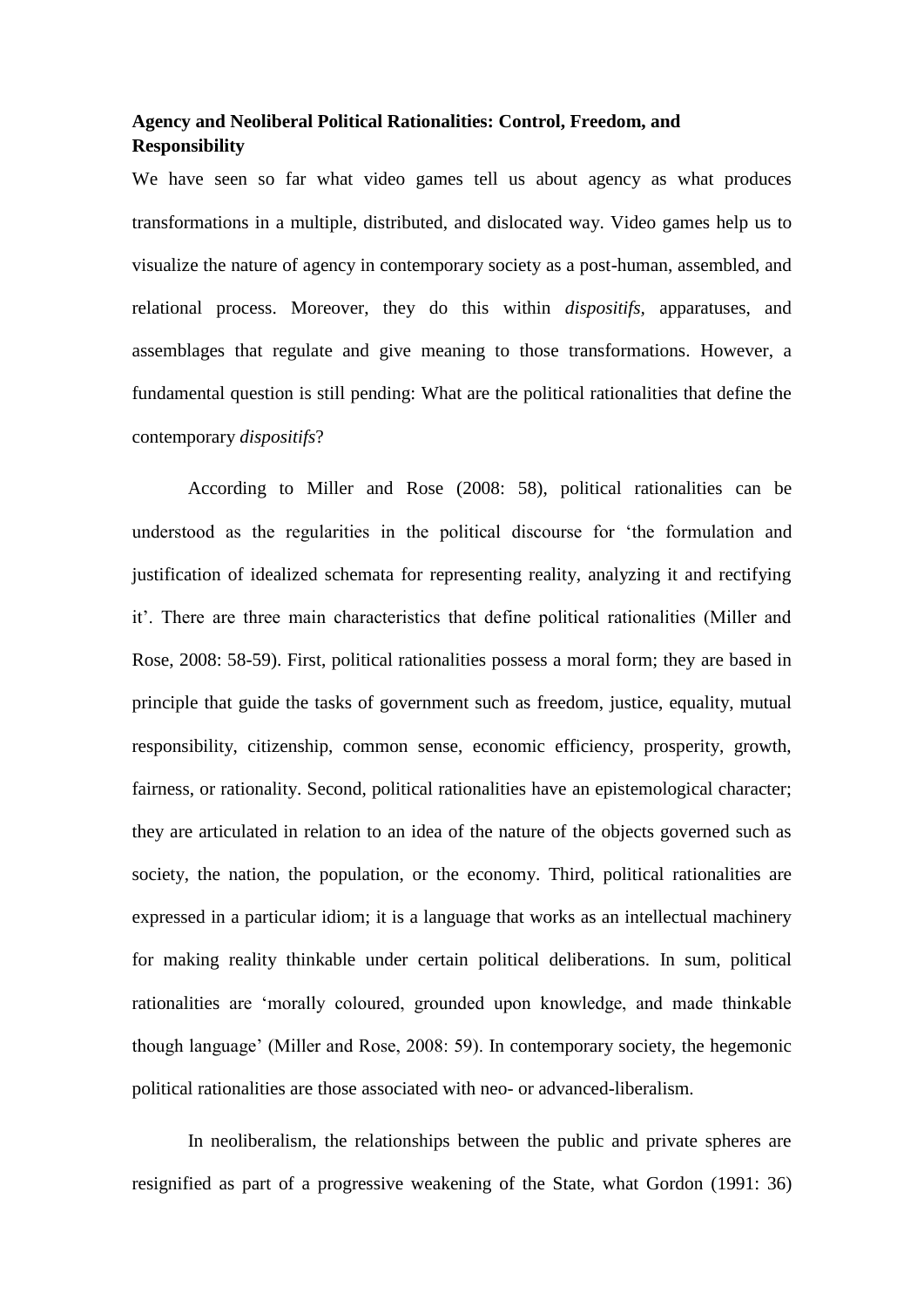# **Agency and Neoliberal Political Rationalities: Control, Freedom, and Responsibility**

We have seen so far what video games tell us about agency as what produces transformations in a multiple, distributed, and dislocated way. Video games help us to visualize the nature of agency in contemporary society as a post-human, assembled, and relational process. Moreover, they do this within *dispositifs,* apparatuses, and assemblages that regulate and give meaning to those transformations. However, a fundamental question is still pending: What are the political rationalities that define the contemporary *dispositifs*?

According to Miller and Rose (2008: 58), political rationalities can be understood as the regularities in the political discourse for 'the formulation and justification of idealized schemata for representing reality, analyzing it and rectifying it'. There are three main characteristics that define political rationalities (Miller and Rose, 2008: 58-59). First, political rationalities possess a moral form; they are based in principle that guide the tasks of government such as freedom, justice, equality, mutual responsibility, citizenship, common sense, economic efficiency, prosperity, growth, fairness, or rationality. Second, political rationalities have an epistemological character; they are articulated in relation to an idea of the nature of the objects governed such as society, the nation, the population, or the economy. Third, political rationalities are expressed in a particular idiom; it is a language that works as an intellectual machinery for making reality thinkable under certain political deliberations. In sum, political rationalities are 'morally coloured, grounded upon knowledge, and made thinkable though language' (Miller and Rose, 2008: 59). In contemporary society, the hegemonic political rationalities are those associated with neo- or advanced-liberalism.

In neoliberalism, the relationships between the public and private spheres are resignified as part of a progressive weakening of the State, what Gordon (1991: 36)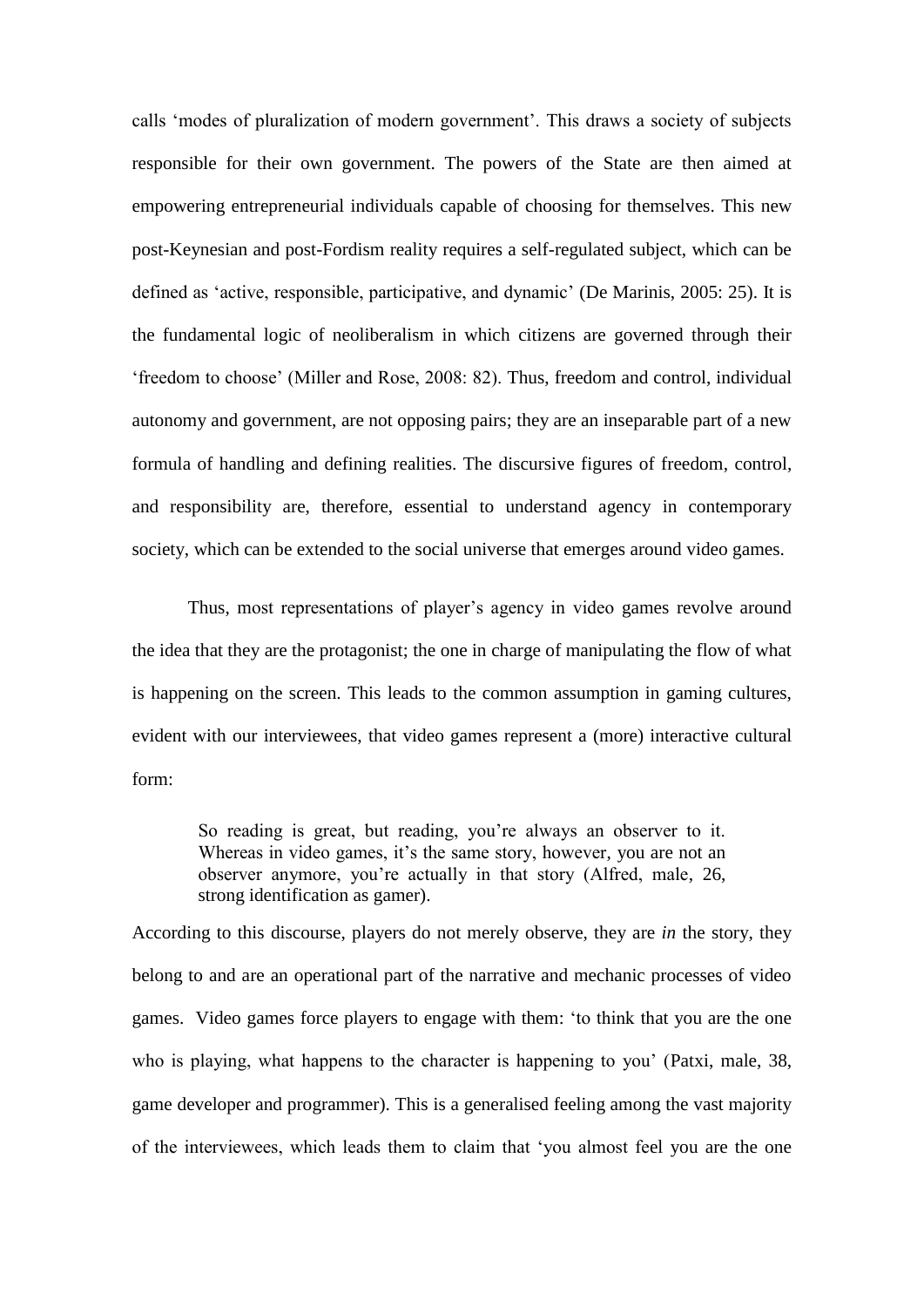calls 'modes of pluralization of modern government'. This draws a society of subjects responsible for their own government. The powers of the State are then aimed at empowering entrepreneurial individuals capable of choosing for themselves. This new post-Keynesian and post-Fordism reality requires a self-regulated subject, which can be defined as 'active, responsible, participative, and dynamic' (De Marinis, 2005: 25). It is the fundamental logic of neoliberalism in which citizens are governed through their 'freedom to choose' (Miller and Rose, 2008: 82). Thus, freedom and control, individual autonomy and government, are not opposing pairs; they are an inseparable part of a new formula of handling and defining realities. The discursive figures of freedom, control, and responsibility are, therefore, essential to understand agency in contemporary society, which can be extended to the social universe that emerges around video games.

Thus, most representations of player's agency in video games revolve around the idea that they are the protagonist; the one in charge of manipulating the flow of what is happening on the screen. This leads to the common assumption in gaming cultures, evident with our interviewees, that video games represent a (more) interactive cultural form:

So reading is great, but reading, you're always an observer to it. Whereas in video games, it's the same story, however, you are not an observer anymore, you're actually in that story (Alfred, male, 26, strong identification as gamer).

According to this discourse, players do not merely observe, they are *in* the story, they belong to and are an operational part of the narrative and mechanic processes of video games. Video games force players to engage with them: 'to think that you are the one who is playing, what happens to the character is happening to you' (Patxi, male, 38, game developer and programmer). This is a generalised feeling among the vast majority of the interviewees, which leads them to claim that 'you almost feel you are the one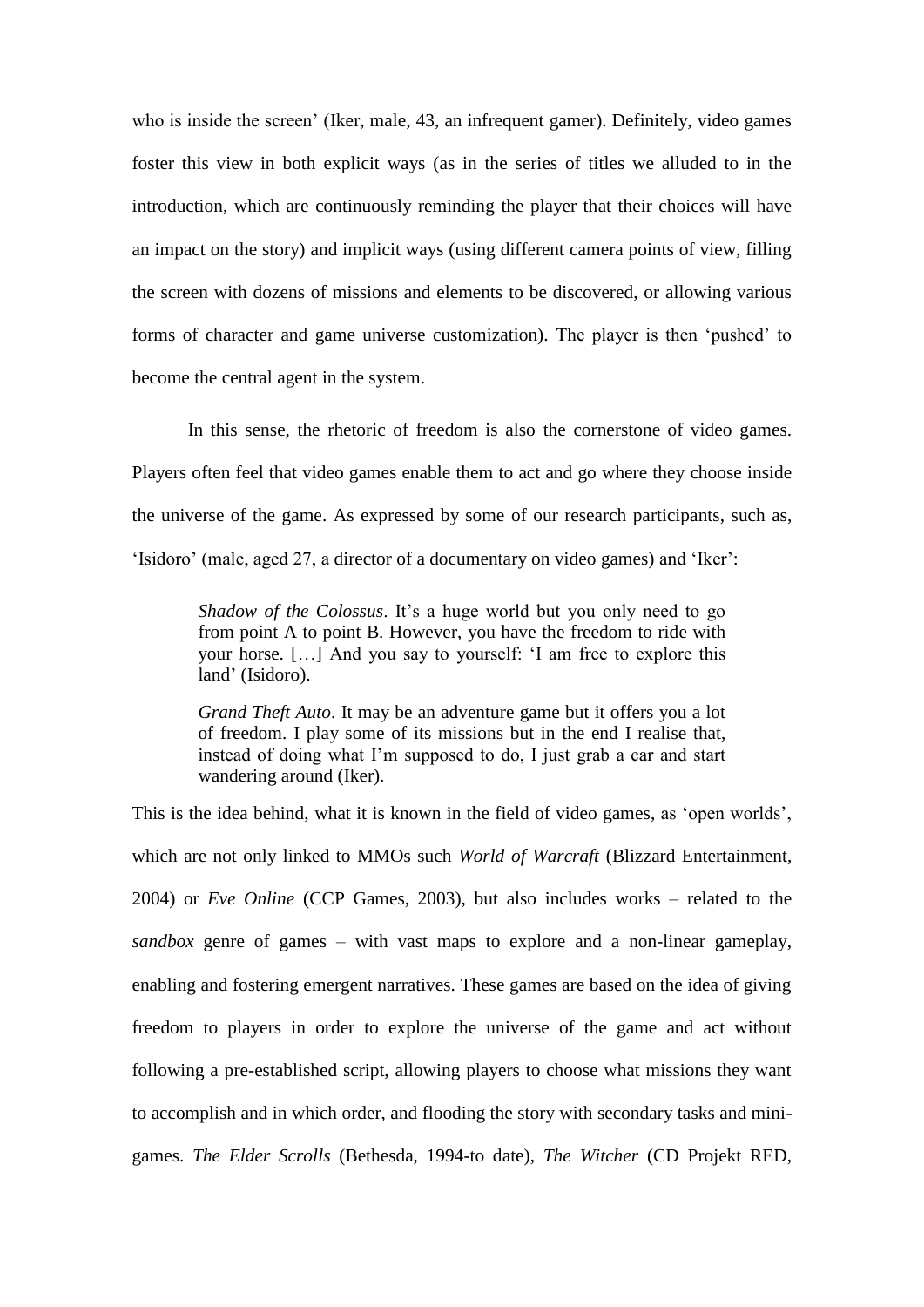who is inside the screen' (Iker, male, 43, an infrequent gamer). Definitely, video games foster this view in both explicit ways (as in the series of titles we alluded to in the introduction, which are continuously reminding the player that their choices will have an impact on the story) and implicit ways (using different camera points of view, filling the screen with dozens of missions and elements to be discovered, or allowing various forms of character and game universe customization). The player is then 'pushed' to become the central agent in the system.

In this sense, the rhetoric of freedom is also the cornerstone of video games. Players often feel that video games enable them to act and go where they choose inside the universe of the game. As expressed by some of our research participants, such as, 'Isidoro' (male, aged 27, a director of a documentary on video games) and 'Iker':

*Shadow of the Colossus*. It's a huge world but you only need to go from point A to point B. However, you have the freedom to ride with your horse. […] And you say to yourself: 'I am free to explore this land' (Isidoro).

*Grand Theft Auto*. It may be an adventure game but it offers you a lot of freedom. I play some of its missions but in the end I realise that, instead of doing what I'm supposed to do, I just grab a car and start wandering around (Iker).

This is the idea behind, what it is known in the field of video games, as 'open worlds', which are not only linked to MMOs such *World of Warcraft* (Blizzard Entertainment, 2004) or *Eve Online* (CCP Games, 2003), but also includes works – related to the *sandbox* genre of games – with vast maps to explore and a non-linear gameplay, enabling and fostering emergent narratives. These games are based on the idea of giving freedom to players in order to explore the universe of the game and act without following a pre-established script, allowing players to choose what missions they want to accomplish and in which order, and flooding the story with secondary tasks and minigames. *The Elder Scrolls* (Bethesda, 1994-to date), *The Witcher* (CD Projekt RED,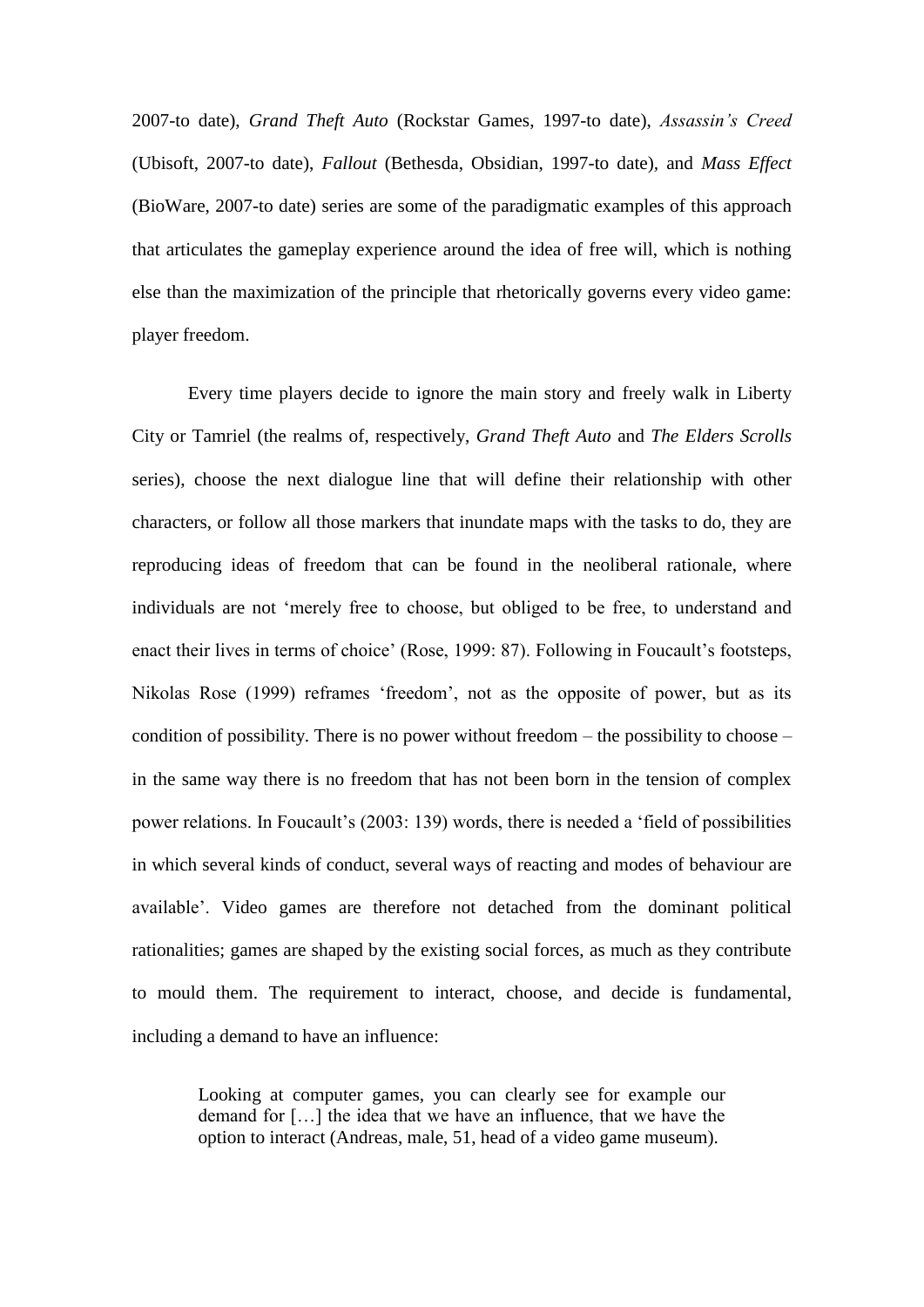2007-to date), *Grand Theft Auto* (Rockstar Games, 1997-to date), *Assassin's Creed* (Ubisoft, 2007-to date), *Fallout* (Bethesda, Obsidian, 1997-to date)*,* and *Mass Effect* (BioWare, 2007-to date) series are some of the paradigmatic examples of this approach that articulates the gameplay experience around the idea of free will, which is nothing else than the maximization of the principle that rhetorically governs every video game: player freedom.

Every time players decide to ignore the main story and freely walk in Liberty City or Tamriel (the realms of, respectively, *Grand Theft Auto* and *The Elders Scrolls*  series), choose the next dialogue line that will define their relationship with other characters, or follow all those markers that inundate maps with the tasks to do, they are reproducing ideas of freedom that can be found in the neoliberal rationale, where individuals are not 'merely free to choose, but obliged to be free, to understand and enact their lives in terms of choice' (Rose, 1999: 87). Following in Foucault's footsteps, Nikolas Rose (1999) reframes 'freedom', not as the opposite of power, but as its condition of possibility. There is no power without freedom – the possibility to choose – in the same way there is no freedom that has not been born in the tension of complex power relations. In Foucault's (2003: 139) words, there is needed a 'field of possibilities in which several kinds of conduct, several ways of reacting and modes of behaviour are available'. Video games are therefore not detached from the dominant political rationalities; games are shaped by the existing social forces, as much as they contribute to mould them. The requirement to interact, choose, and decide is fundamental, including a demand to have an influence:

Looking at computer games, you can clearly see for example our demand for […] the idea that we have an influence, that we have the option to interact (Andreas, male, 51, head of a video game museum).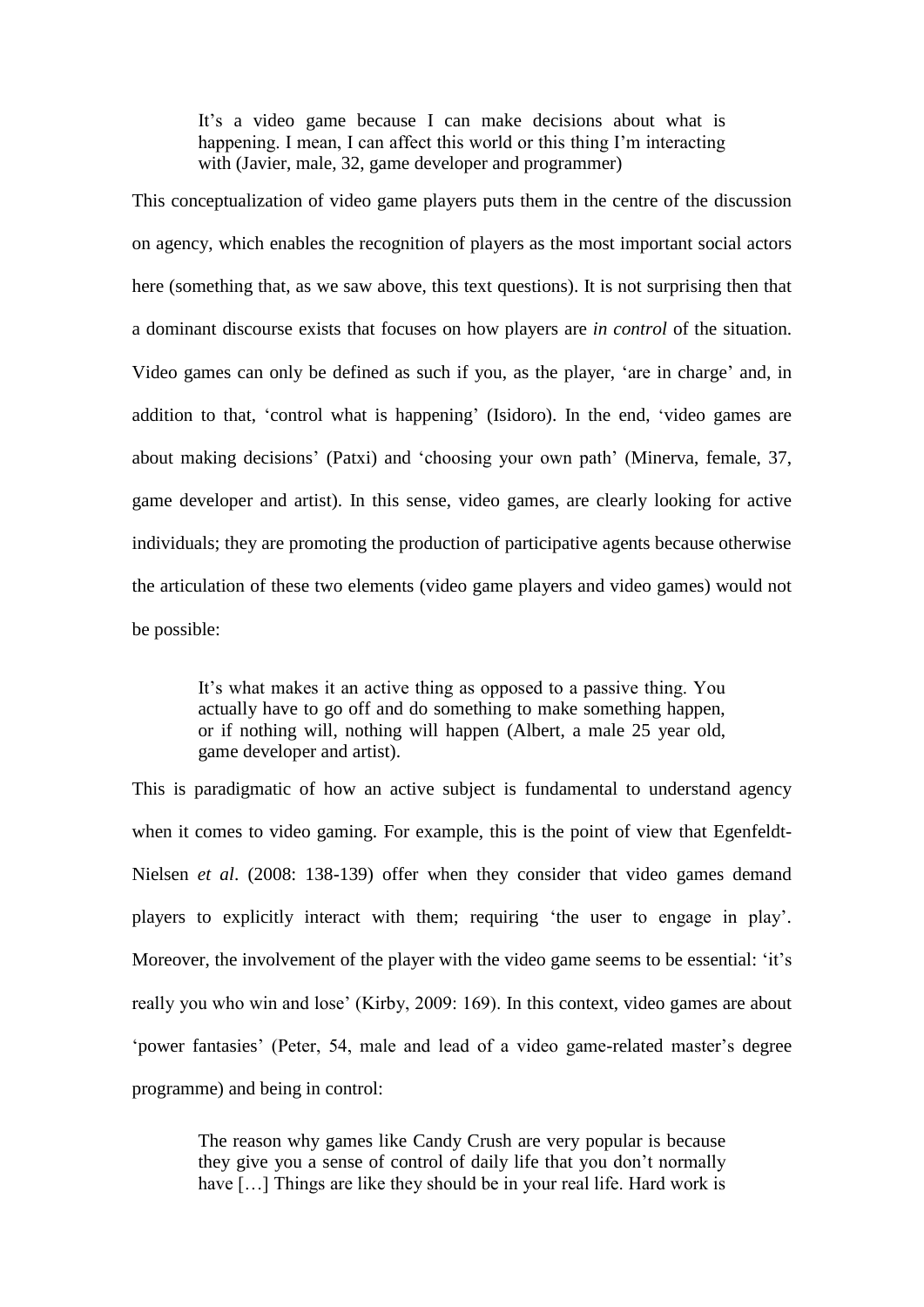It's a video game because I can make decisions about what is happening. I mean, I can affect this world or this thing I'm interacting with (Javier, male, 32, game developer and programmer)

This conceptualization of video game players puts them in the centre of the discussion on agency, which enables the recognition of players as the most important social actors here (something that, as we saw above, this text questions). It is not surprising then that a dominant discourse exists that focuses on how players are *in control* of the situation. Video games can only be defined as such if you, as the player, 'are in charge' and, in addition to that, 'control what is happening' (Isidoro). In the end, 'video games are about making decisions' (Patxi) and 'choosing your own path' (Minerva, female, 37, game developer and artist). In this sense, video games, are clearly looking for active individuals; they are promoting the production of participative agents because otherwise the articulation of these two elements (video game players and video games) would not be possible:

It's what makes it an active thing as opposed to a passive thing. You actually have to go off and do something to make something happen, or if nothing will, nothing will happen (Albert, a male 25 year old, game developer and artist).

This is paradigmatic of how an active subject is fundamental to understand agency when it comes to video gaming. For example, this is the point of view that Egenfeldt-Nielsen *et al*. (2008: 138-139) offer when they consider that video games demand players to explicitly interact with them; requiring 'the user to engage in play'. Moreover, the involvement of the player with the video game seems to be essential: 'it's really you who win and lose' (Kirby, 2009: 169). In this context, video games are about 'power fantasies' (Peter, 54, male and lead of a video game-related master's degree programme) and being in control:

The reason why games like Candy Crush are very popular is because they give you a sense of control of daily life that you don't normally have [...] Things are like they should be in your real life. Hard work is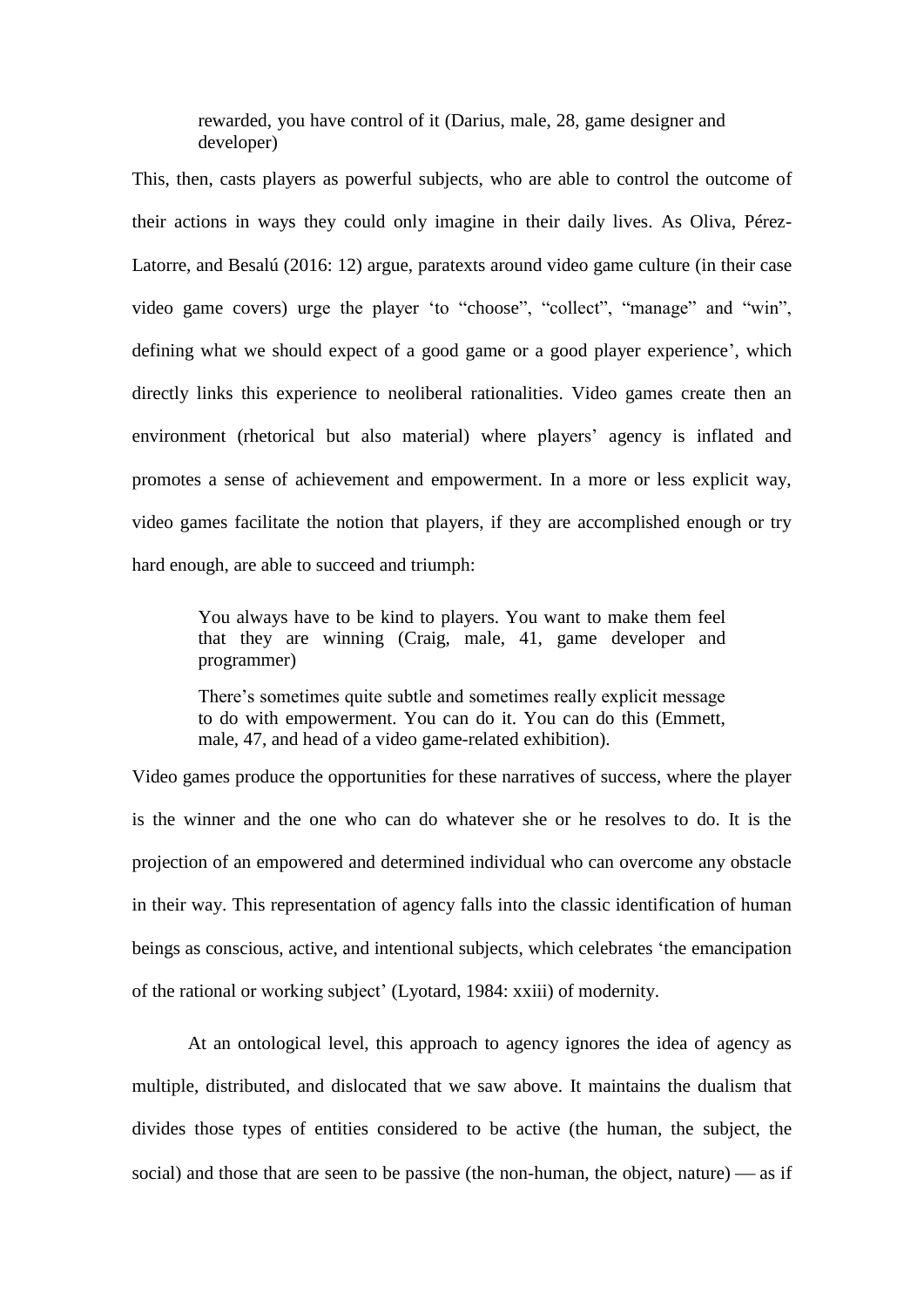rewarded, you have control of it (Darius, male, 28, game designer and developer)

This, then, casts players as powerful subjects, who are able to control the outcome of their actions in ways they could only imagine in their daily lives. As Oliva, Pérez-Latorre, and Besalú (2016: 12) argue, paratexts around video game culture (in their case video game covers) urge the player 'to "choose", "collect", "manage" and "win", defining what we should expect of a good game or a good player experience', which directly links this experience to neoliberal rationalities. Video games create then an environment (rhetorical but also material) where players' agency is inflated and promotes a sense of achievement and empowerment. In a more or less explicit way, video games facilitate the notion that players, if they are accomplished enough or try hard enough, are able to succeed and triumph:

You always have to be kind to players. You want to make them feel that they are winning (Craig, male, 41, game developer and programmer)

There's sometimes quite subtle and sometimes really explicit message to do with empowerment. You can do it. You can do this (Emmett, male, 47, and head of a video game-related exhibition).

Video games produce the opportunities for these narratives of success, where the player is the winner and the one who can do whatever she or he resolves to do. It is the projection of an empowered and determined individual who can overcome any obstacle in their way. This representation of agency falls into the classic identification of human beings as conscious, active, and intentional subjects, which celebrates 'the emancipation of the rational or working subject' (Lyotard, 1984: xxiii) of modernity.

At an ontological level, this approach to agency ignores the idea of agency as multiple, distributed, and dislocated that we saw above. It maintains the dualism that divides those types of entities considered to be active (the human, the subject, the social) and those that are seen to be passive (the non-human, the object, nature)  $\frac{1}{2}$  as if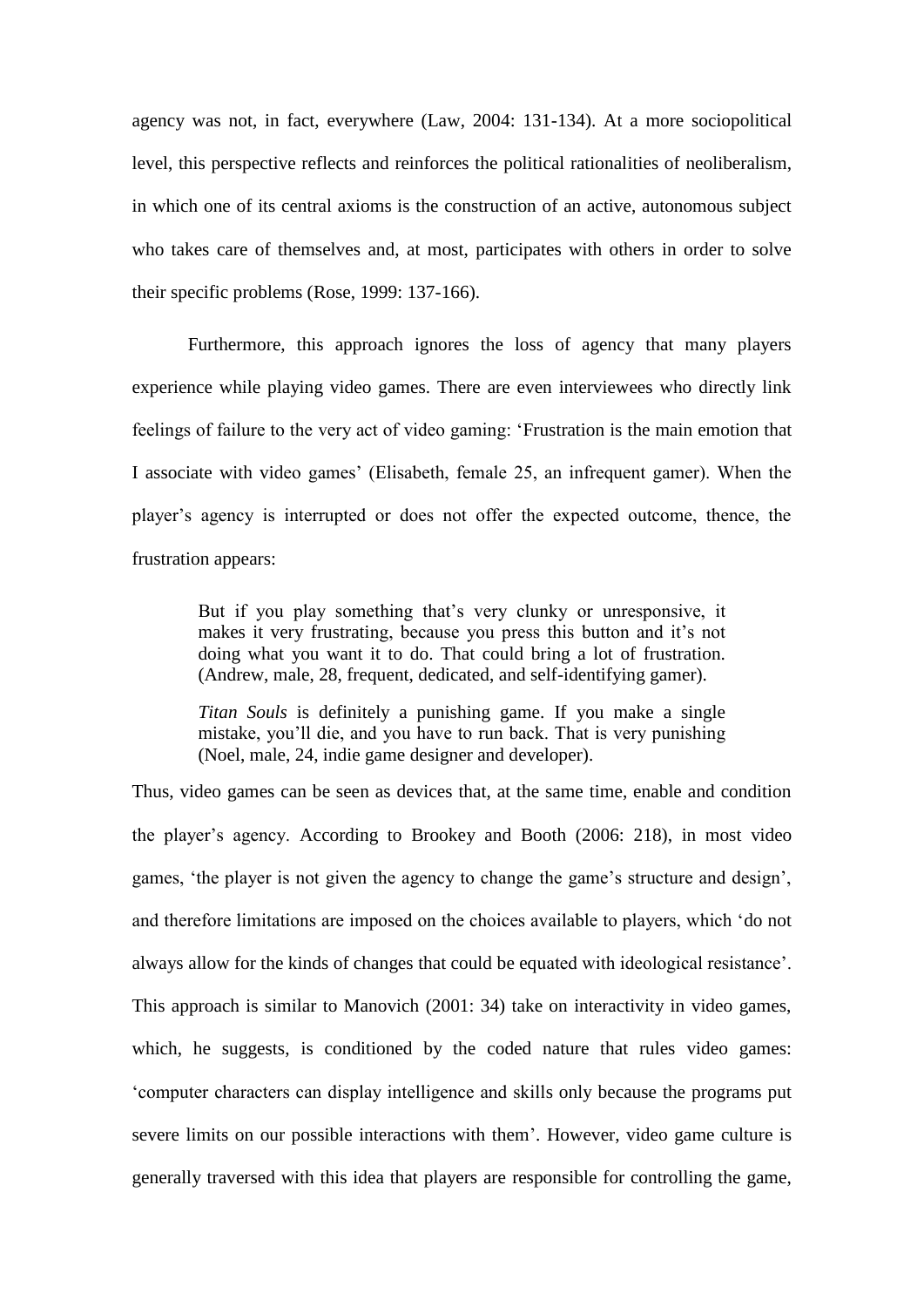agency was not, in fact, everywhere (Law, 2004: 131-134). At a more sociopolitical level, this perspective reflects and reinforces the political rationalities of neoliberalism, in which one of its central axioms is the construction of an active, autonomous subject who takes care of themselves and, at most, participates with others in order to solve their specific problems (Rose, 1999: 137-166).

Furthermore, this approach ignores the loss of agency that many players experience while playing video games. There are even interviewees who directly link feelings of failure to the very act of video gaming: 'Frustration is the main emotion that I associate with video games' (Elisabeth, female 25, an infrequent gamer). When the player's agency is interrupted or does not offer the expected outcome, thence, the frustration appears:

But if you play something that's very clunky or unresponsive, it makes it very frustrating, because you press this button and it's not doing what you want it to do. That could bring a lot of frustration. (Andrew, male, 28, frequent, dedicated, and self-identifying gamer).

*Titan Souls* is definitely a punishing game. If you make a single mistake, you'll die, and you have to run back. That is very punishing (Noel, male, 24, indie game designer and developer).

Thus, video games can be seen as devices that, at the same time, enable and condition the player's agency. According to Brookey and Booth (2006: 218), in most video games, 'the player is not given the agency to change the game's structure and design', and therefore limitations are imposed on the choices available to players, which 'do not always allow for the kinds of changes that could be equated with ideological resistance'. This approach is similar to Manovich (2001: 34) take on interactivity in video games, which, he suggests, is conditioned by the coded nature that rules video games: 'computer characters can display intelligence and skills only because the programs put severe limits on our possible interactions with them'. However, video game culture is generally traversed with this idea that players are responsible for controlling the game,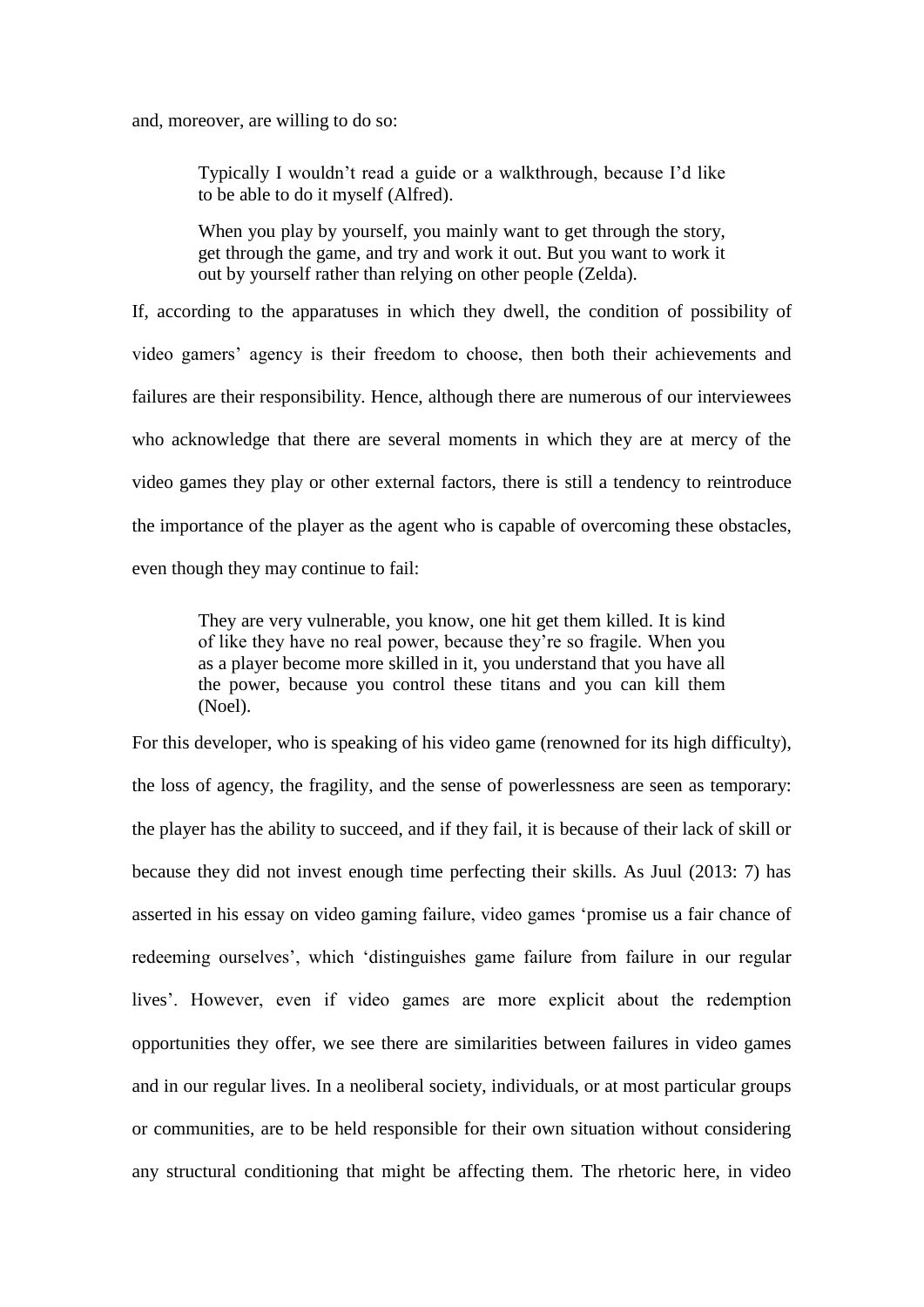and, moreover, are willing to do so:

Typically I wouldn't read a guide or a walkthrough, because I'd like to be able to do it myself (Alfred).

When you play by yourself, you mainly want to get through the story, get through the game, and try and work it out. But you want to work it out by yourself rather than relying on other people (Zelda).

If, according to the apparatuses in which they dwell, the condition of possibility of video gamers' agency is their freedom to choose, then both their achievements and failures are their responsibility. Hence, although there are numerous of our interviewees who acknowledge that there are several moments in which they are at mercy of the video games they play or other external factors, there is still a tendency to reintroduce the importance of the player as the agent who is capable of overcoming these obstacles, even though they may continue to fail:

They are very vulnerable, you know, one hit get them killed. It is kind of like they have no real power, because they're so fragile. When you as a player become more skilled in it, you understand that you have all the power, because you control these titans and you can kill them (Noel).

For this developer, who is speaking of his video game (renowned for its high difficulty), the loss of agency, the fragility, and the sense of powerlessness are seen as temporary: the player has the ability to succeed, and if they fail, it is because of their lack of skill or because they did not invest enough time perfecting their skills. As Juul (2013: 7) has asserted in his essay on video gaming failure, video games 'promise us a fair chance of redeeming ourselves', which 'distinguishes game failure from failure in our regular lives'. However, even if video games are more explicit about the redemption opportunities they offer, we see there are similarities between failures in video games and in our regular lives. In a neoliberal society, individuals, or at most particular groups or communities, are to be held responsible for their own situation without considering any structural conditioning that might be affecting them. The rhetoric here, in video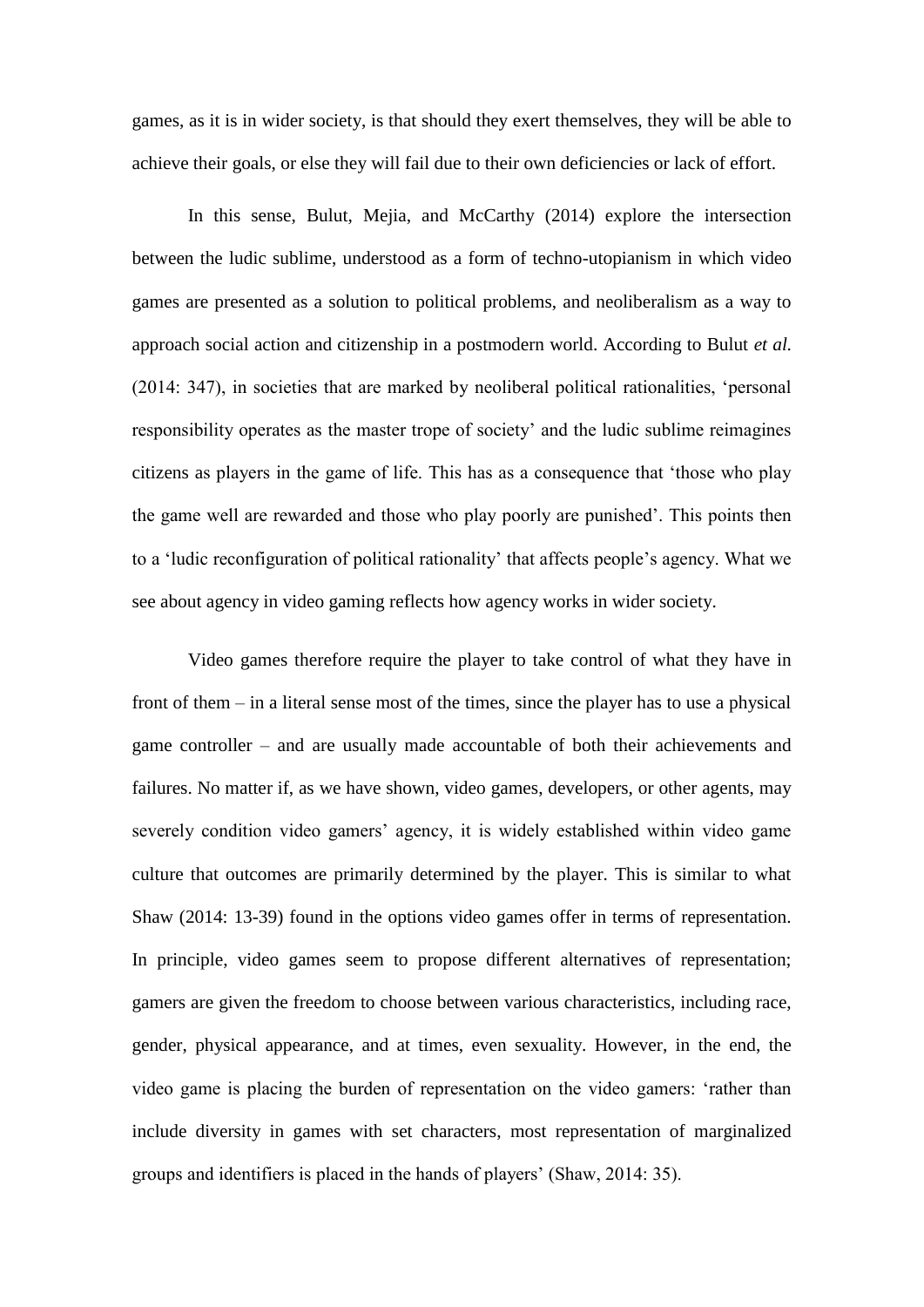games, as it is in wider society, is that should they exert themselves, they will be able to achieve their goals, or else they will fail due to their own deficiencies or lack of effort.

In this sense, Bulut, Mejia, and McCarthy (2014) explore the intersection between the ludic sublime, understood as a form of techno-utopianism in which video games are presented as a solution to political problems, and neoliberalism as a way to approach social action and citizenship in a postmodern world. According to Bulut *et al.* (2014: 347), in societies that are marked by neoliberal political rationalities, 'personal responsibility operates as the master trope of society' and the ludic sublime reimagines citizens as players in the game of life. This has as a consequence that 'those who play the game well are rewarded and those who play poorly are punished'. This points then to a 'ludic reconfiguration of political rationality' that affects people's agency. What we see about agency in video gaming reflects how agency works in wider society.

Video games therefore require the player to take control of what they have in front of them – in a literal sense most of the times, since the player has to use a physical game controller – and are usually made accountable of both their achievements and failures. No matter if, as we have shown, video games, developers, or other agents, may severely condition video gamers' agency, it is widely established within video game culture that outcomes are primarily determined by the player. This is similar to what Shaw (2014: 13-39) found in the options video games offer in terms of representation. In principle, video games seem to propose different alternatives of representation; gamers are given the freedom to choose between various characteristics, including race, gender, physical appearance, and at times, even sexuality. However, in the end, the video game is placing the burden of representation on the video gamers: 'rather than include diversity in games with set characters, most representation of marginalized groups and identifiers is placed in the hands of players' (Shaw, 2014: 35).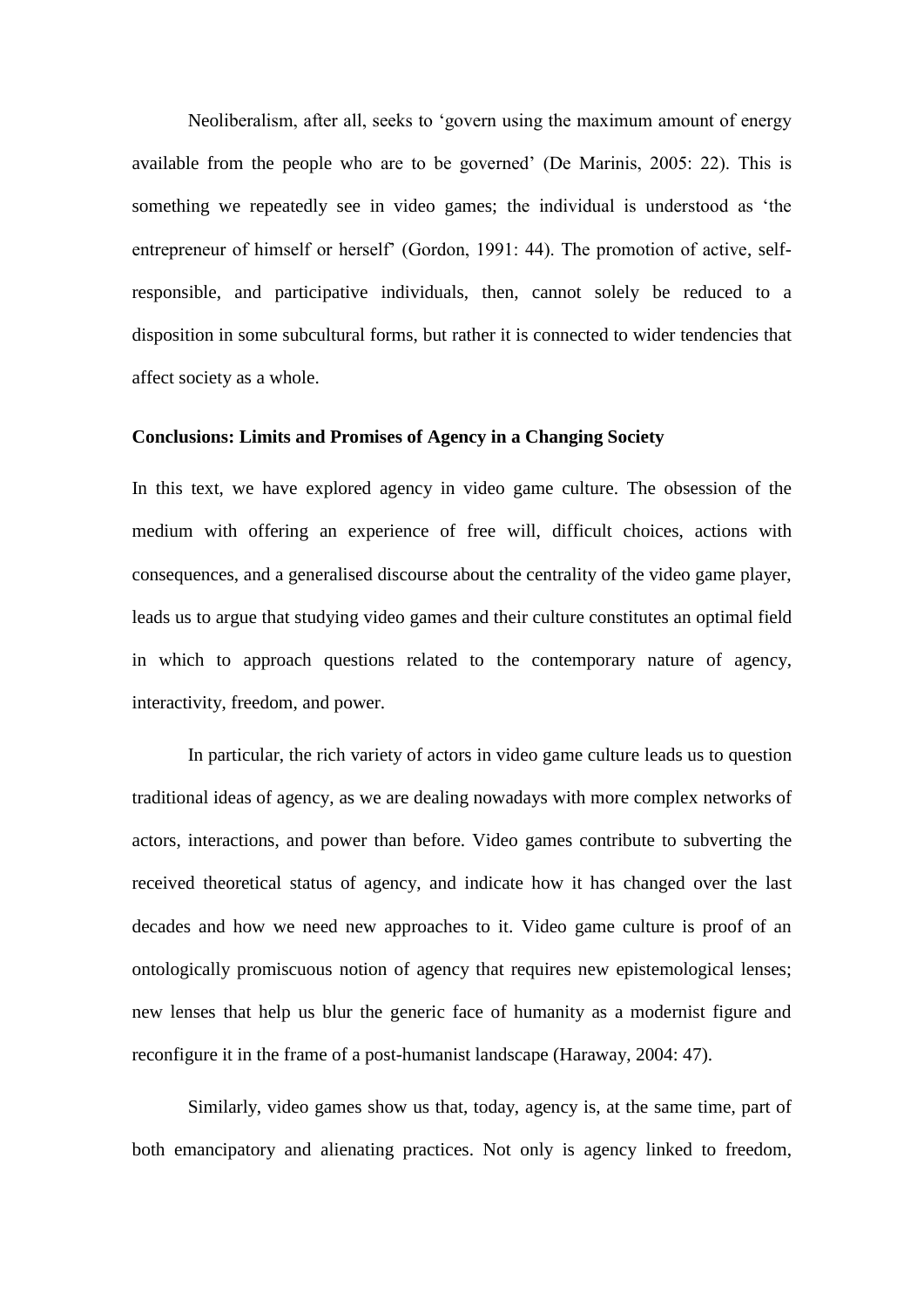Neoliberalism, after all, seeks to 'govern using the maximum amount of energy available from the people who are to be governed' (De Marinis, 2005: 22). This is something we repeatedly see in video games; the individual is understood as 'the entrepreneur of himself or herself' (Gordon, 1991: 44). The promotion of active, selfresponsible, and participative individuals, then, cannot solely be reduced to a disposition in some subcultural forms, but rather it is connected to wider tendencies that affect society as a whole.

# **Conclusions: Limits and Promises of Agency in a Changing Society**

In this text, we have explored agency in video game culture. The obsession of the medium with offering an experience of free will, difficult choices, actions with consequences, and a generalised discourse about the centrality of the video game player, leads us to argue that studying video games and their culture constitutes an optimal field in which to approach questions related to the contemporary nature of agency, interactivity, freedom, and power.

In particular, the rich variety of actors in video game culture leads us to question traditional ideas of agency, as we are dealing nowadays with more complex networks of actors, interactions, and power than before. Video games contribute to subverting the received theoretical status of agency, and indicate how it has changed over the last decades and how we need new approaches to it. Video game culture is proof of an ontologically promiscuous notion of agency that requires new epistemological lenses; new lenses that help us blur the generic face of humanity as a modernist figure and reconfigure it in the frame of a post-humanist landscape (Haraway, 2004: 47).

Similarly, video games show us that, today, agency is, at the same time, part of both emancipatory and alienating practices. Not only is agency linked to freedom,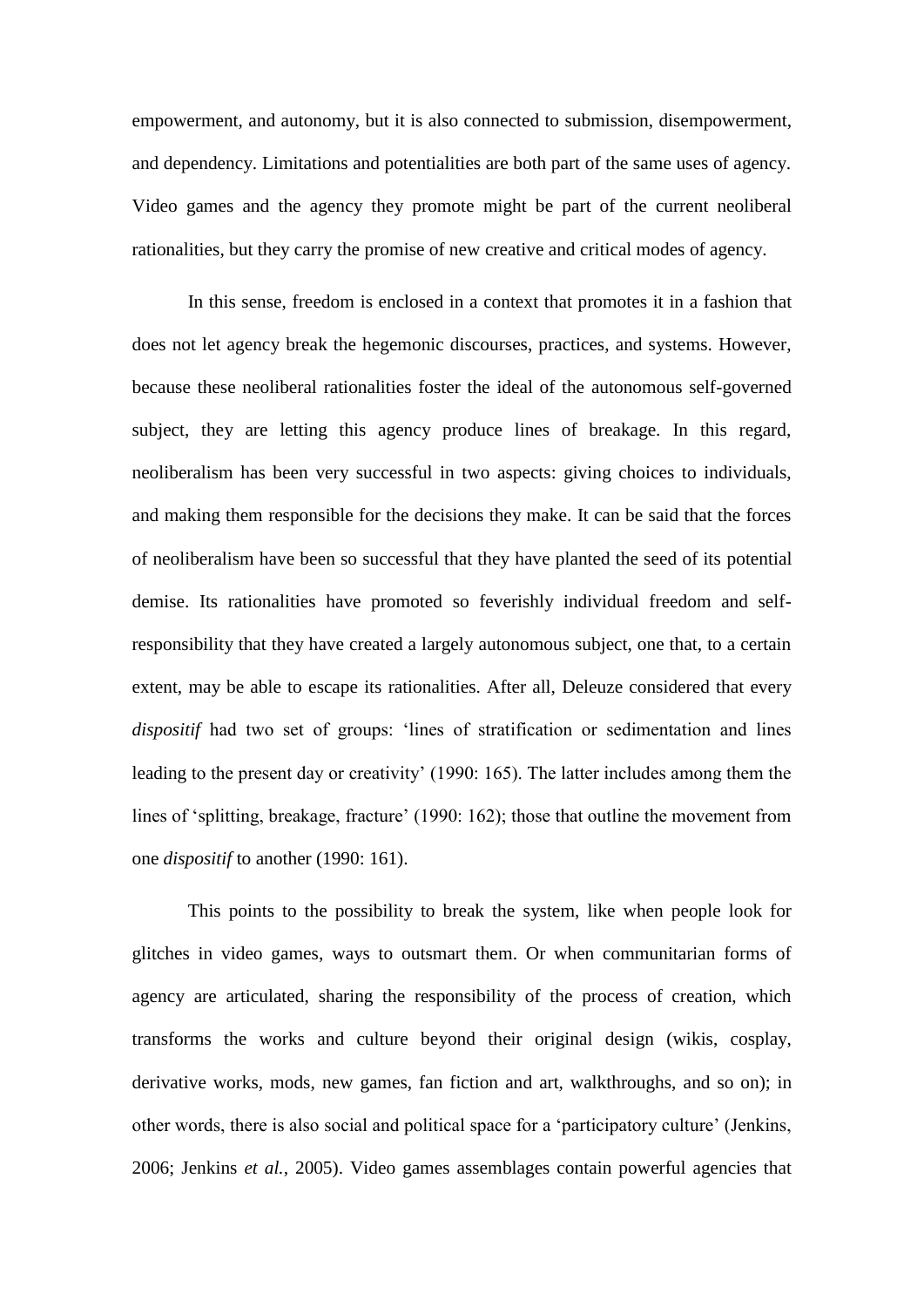empowerment, and autonomy, but it is also connected to submission, disempowerment, and dependency. Limitations and potentialities are both part of the same uses of agency. Video games and the agency they promote might be part of the current neoliberal rationalities, but they carry the promise of new creative and critical modes of agency.

In this sense, freedom is enclosed in a context that promotes it in a fashion that does not let agency break the hegemonic discourses, practices, and systems. However, because these neoliberal rationalities foster the ideal of the autonomous self-governed subject, they are letting this agency produce lines of breakage. In this regard, neoliberalism has been very successful in two aspects: giving choices to individuals, and making them responsible for the decisions they make. It can be said that the forces of neoliberalism have been so successful that they have planted the seed of its potential demise. Its rationalities have promoted so feverishly individual freedom and selfresponsibility that they have created a largely autonomous subject, one that, to a certain extent, may be able to escape its rationalities. After all, Deleuze considered that every *dispositif* had two set of groups: 'lines of stratification or sedimentation and lines leading to the present day or creativity' (1990: 165). The latter includes among them the lines of 'splitting, breakage, fracture' (1990: 162); those that outline the movement from one *dispositif* to another (1990: 161).

This points to the possibility to break the system, like when people look for glitches in video games, ways to outsmart them. Or when communitarian forms of agency are articulated, sharing the responsibility of the process of creation, which transforms the works and culture beyond their original design (wikis, cosplay, derivative works, mods, new games, fan fiction and art, walkthroughs, and so on); in other words, there is also social and political space for a 'participatory culture' (Jenkins, 2006; Jenkins *et al.*, 2005). Video games assemblages contain powerful agencies that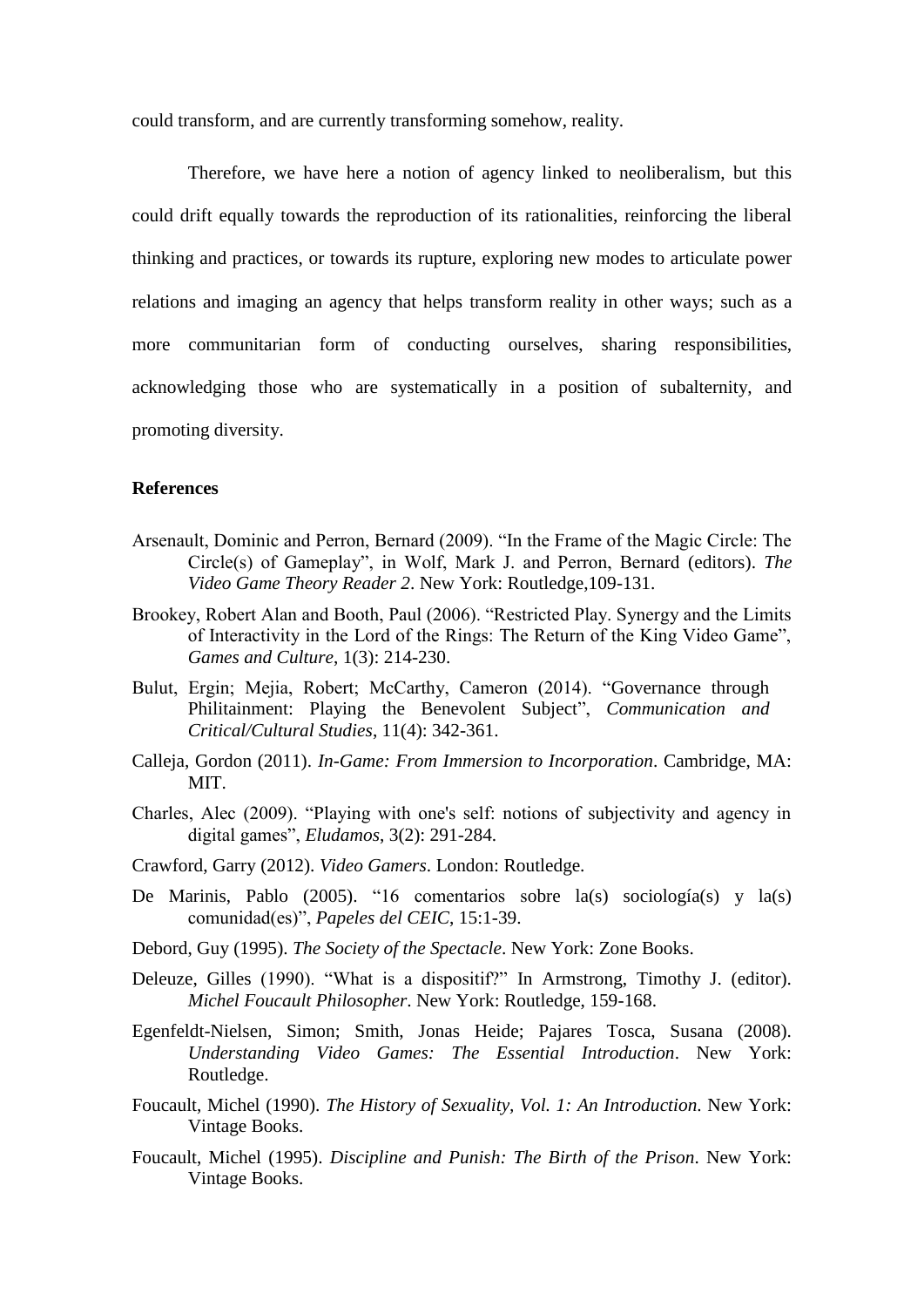could transform, and are currently transforming somehow, reality.

Therefore, we have here a notion of agency linked to neoliberalism, but this could drift equally towards the reproduction of its rationalities, reinforcing the liberal thinking and practices, or towards its rupture, exploring new modes to articulate power relations and imaging an agency that helps transform reality in other ways; such as a more communitarian form of conducting ourselves, sharing responsibilities, acknowledging those who are systematically in a position of subalternity, and promoting diversity.

# **References**

- Arsenault, Dominic and Perron, Bernard (2009). "In the Frame of the Magic Circle: The Circle(s) of Gameplay", in Wolf, Mark J. and Perron, Bernard (editors). *The Video Game Theory Reader 2*. New York: Routledge,109-131.
- Brookey, Robert Alan and Booth, Paul (2006). "Restricted Play. Synergy and the Limits of Interactivity in the Lord of the Rings: The Return of the King Video Game", *Games and Culture*, 1(3): 214-230.
- Bulut, Ergin; Mejia, Robert; McCarthy, Cameron (2014). "Governance through Philitainment: Playing the Benevolent Subject", *Communication and Critical/Cultural Studies*, 11(4): 342-361.
- Calleja, Gordon (2011). *In-Game: From Immersion to Incorporation*. Cambridge, MA: MIT.
- Charles, Alec (2009). "Playing with one's self: notions of subjectivity and agency in digital games", *Eludamos*, 3(2): 291-284.
- Crawford, Garry (2012). *Video Gamers*. London: Routledge.
- De Marinis, Pablo (2005). "16 comentarios sobre la(s) sociología(s) y la(s) comunidad(es)", *Papeles del CEIC*, 15:1-39.
- Debord, Guy (1995). *The Society of the Spectacle*. New York: Zone Books.
- Deleuze, Gilles (1990). "What is a dispositif?" In Armstrong, Timothy J. (editor). *Michel Foucault Philosopher*. New York: Routledge, 159-168.
- Egenfeldt-Nielsen, Simon; Smith, Jonas Heide; Pajares Tosca, Susana (2008). *Understanding Video Games: The Essential Introduction*. New York: Routledge.
- Foucault, Michel (1990). *The History of Sexuality, Vol. 1: An Introduction*. New York: Vintage Books.
- Foucault, Michel (1995). *Discipline and Punish: The Birth of the Prison*. New York: Vintage Books.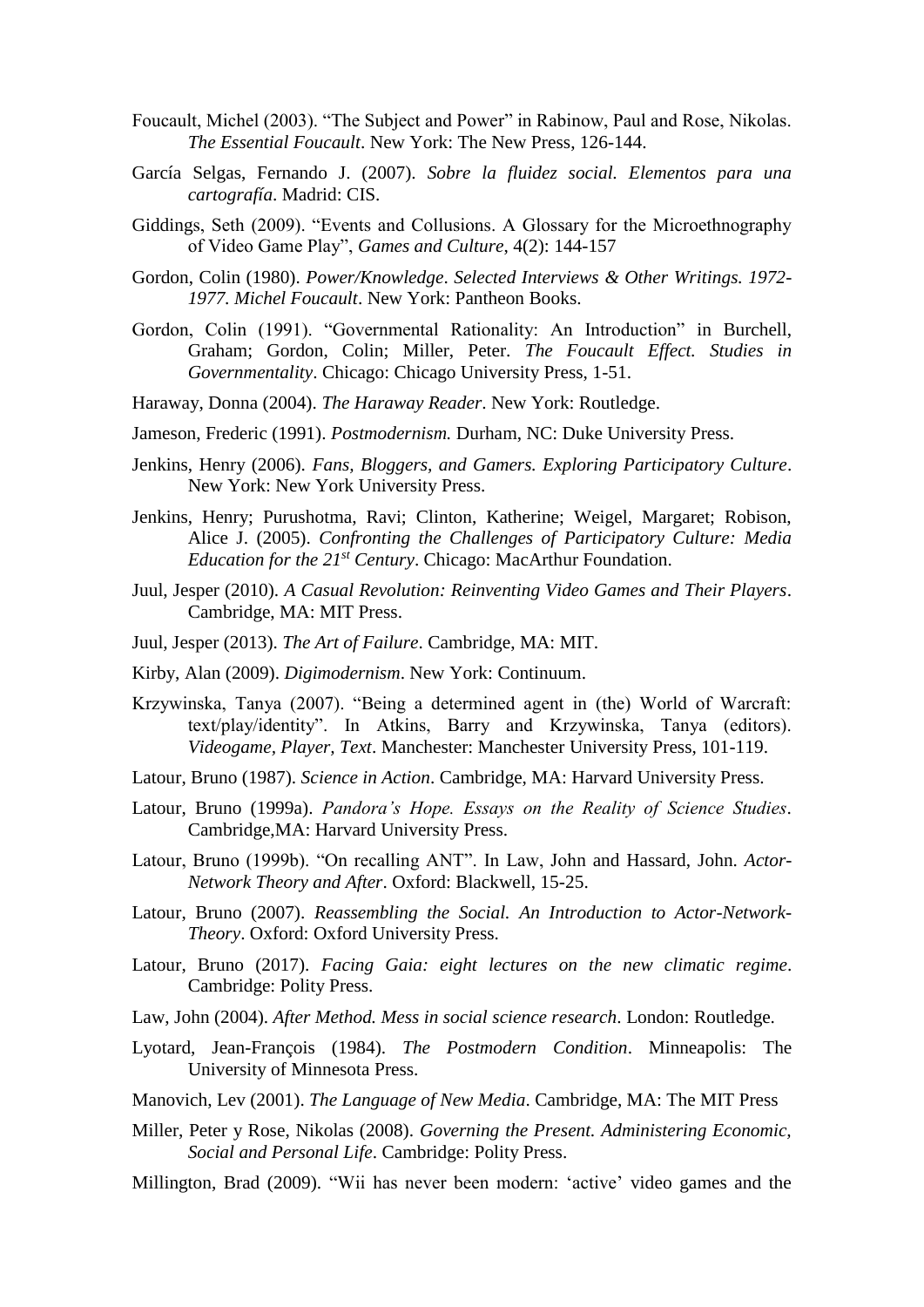- Foucault, Michel (2003). "The Subject and Power" in Rabinow, Paul and Rose, Nikolas. *The Essential Foucault*. New York: The New Press, 126-144.
- García Selgas, Fernando J. (2007). *Sobre la fluidez social. Elementos para una cartografía*. Madrid: CIS.
- Giddings, Seth (2009). "Events and Collusions. A Glossary for the Microethnography of Video Game Play", *Games and Culture*, 4(2): 144-157
- Gordon, Colin (1980). *Power/Knowledge*. *Selected Interviews & Other Writings. 1972- 1977. Michel Foucault*. New York: Pantheon Books.
- Gordon, Colin (1991). "Governmental Rationality: An Introduction" in Burchell, Graham; Gordon, Colin; Miller, Peter. *The Foucault Effect. Studies in Governmentality*. Chicago: Chicago University Press, 1-51.
- Haraway, Donna (2004). *The Haraway Reader*. New York: Routledge.
- Jameson, Frederic (1991). *Postmodernism.* Durham, NC: Duke University Press.
- Jenkins, Henry (2006). *Fans, Bloggers, and Gamers. Exploring Participatory Culture*. New York: New York University Press.
- Jenkins, Henry; Purushotma, Ravi; Clinton, Katherine; Weigel, Margaret; Robison, Alice J. (2005). *Confronting the Challenges of Participatory Culture: Media Education for the 21st Century*. Chicago: MacArthur Foundation.
- Juul, Jesper (2010). *A Casual Revolution: Reinventing Video Games and Their Players*. Cambridge, MA: MIT Press.
- Juul, Jesper (2013). *The Art of Failure*. Cambridge, MA: MIT.
- Kirby, Alan (2009). *Digimodernism*. New York: Continuum.
- Krzywinska, Tanya (2007). "Being a determined agent in (the) World of Warcraft: text/play/identity". In Atkins, Barry and Krzywinska, Tanya (editors). *Videogame, Player, Text*. Manchester: Manchester University Press, 101-119.
- Latour, Bruno (1987). *Science in Action*. Cambridge, MA: Harvard University Press.
- Latour, Bruno (1999a). *Pandora's Hope. Essays on the Reality of Science Studies*. Cambridge,MA: Harvard University Press.
- Latour, Bruno (1999b). "On recalling ANT". In Law, John and Hassard, John. *Actor-Network Theory and After*. Oxford: Blackwell, 15-25.
- Latour, Bruno (2007). *Reassembling the Social. An Introduction to Actor-Network-Theory*. Oxford: Oxford University Press.
- Latour, Bruno (2017). *Facing Gaia: eight lectures on the new climatic regime*. Cambridge: Polity Press.
- Law, John (2004). *After Method. Mess in social science research*. London: Routledge.
- Lyotard, Jean-François (1984). *The Postmodern Condition*. Minneapolis: The University of Minnesota Press.
- Manovich, Lev (2001). *The Language of New Media*. Cambridge, MA: The MIT Press
- Miller, Peter y Rose, Nikolas (2008). *Governing the Present. Administering Economic, Social and Personal Life*. Cambridge: Polity Press.
- Millington, Brad (2009). "Wii has never been modern: 'active' video games and the